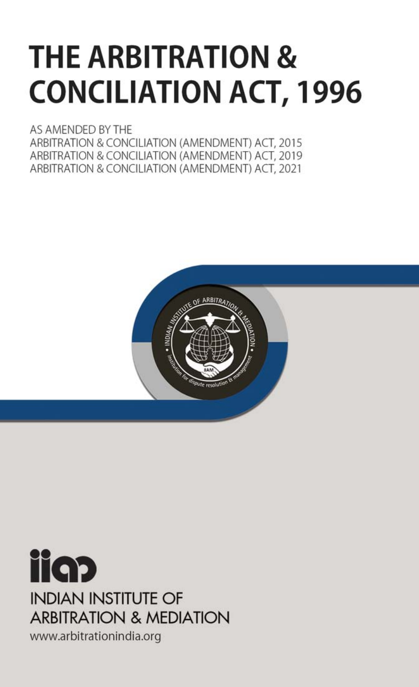# **THE ARBITRATION & CONCILIATION ACT, 1996**

# AS AMENDED BY THE

ARBITRATION & CONCILIATION (AMENDMENT) ACT, 2015 ARBITRATION & CONCILIATION (AMENDMENT) ACT, 2019 ARBITRATION & CONCILIATION (AMENDMENT) ACT, 2021



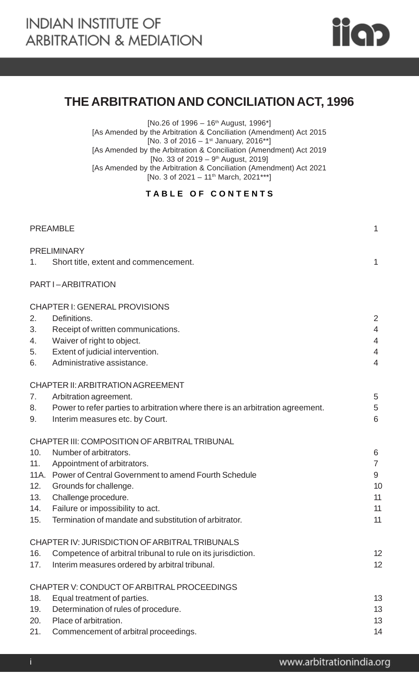

# **THE ARBITRATION AND CONCILIATION ACT, 1996**

 $[No.26 of 1996 - 16<sup>th</sup> August, 1996<sup>*</sup>]$ [As Amended by the Arbitration & Conciliation (Amendment) Act 2015 [No. 3 of 2016 – 1st January, 2016\*\*] [As Amended by the Arbitration & Conciliation (Amendment) Act 2019 [No. 33 of 2019 –  $9<sup>th</sup>$  August, 2019] [As Amended by the Arbitration & Conciliation (Amendment) Act 2021 [No. 3 of 2021 – 11<sup>th</sup> March, 2021\*\*\*]

# **T A B L E O F C O N T E N T S**

|                    | <b>PREAMBLE</b>                                                                |                |  |
|--------------------|--------------------------------------------------------------------------------|----------------|--|
| <b>PRELIMINARY</b> |                                                                                |                |  |
| 1.                 | Short title, extent and commencement.                                          | 1              |  |
|                    | PARTI-ARBITRATION                                                              |                |  |
|                    | CHAPTER I: GENERAL PROVISIONS                                                  |                |  |
| 2.                 | Definitions.                                                                   | $\overline{2}$ |  |
| 3.                 | Receipt of written communications.                                             | $\overline{4}$ |  |
| 4.                 | Waiver of right to object.                                                     | $\overline{4}$ |  |
| 5.                 | Extent of judicial intervention.                                               | 4              |  |
| 6.                 | Administrative assistance.                                                     | 4              |  |
|                    | CHAPTER II: ARBITRATION AGREEMENT                                              |                |  |
| 7.                 | Arbitration agreement.                                                         | 5              |  |
| 8.                 | Power to refer parties to arbitration where there is an arbitration agreement. | 5              |  |
| 9.                 | Interim measures etc. by Court.                                                | 6              |  |
|                    | CHAPTER III: COMPOSITION OF ARBITRAL TRIBUNAL                                  |                |  |
| 10.                | Number of arbitrators.                                                         | 6              |  |
| 11.                | Appointment of arbitrators.                                                    | $\overline{7}$ |  |
|                    | 11A. Power of Central Government to amend Fourth Schedule                      | 9              |  |
| 12.                | Grounds for challenge.                                                         | 10             |  |
| 13.                | Challenge procedure.                                                           | 11             |  |
| 14.                | Failure or impossibility to act.                                               | 11             |  |
| 15.                | Termination of mandate and substitution of arbitrator.                         | 11             |  |
|                    | CHAPTER IV: JURISDICTION OF ARBITRAL TRIBUNALS                                 |                |  |
| 16.                | Competence of arbitral tribunal to rule on its jurisdiction.                   | 12             |  |
| 17.                | Interim measures ordered by arbitral tribunal.                                 | 12             |  |
|                    | CHAPTER V: CONDUCT OF ARBITRAL PROCEEDINGS                                     |                |  |
| 18.                | Equal treatment of parties.                                                    | 13             |  |
| 19.                | Determination of rules of procedure.                                           | 13             |  |
| 20.                | Place of arbitration.                                                          | 13             |  |
| 21.                | Commencement of arbitral proceedings.                                          | 14             |  |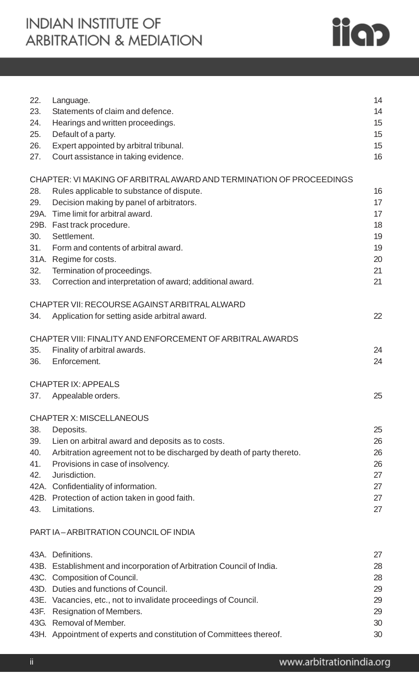

| 22. | Language.                                                             | 14 |
|-----|-----------------------------------------------------------------------|----|
| 23. | Statements of claim and defence.                                      | 14 |
| 24. | Hearings and written proceedings.                                     | 15 |
| 25. | Default of a party.                                                   | 15 |
| 26. | Expert appointed by arbitral tribunal.                                | 15 |
| 27. | Court assistance in taking evidence.                                  | 16 |
|     |                                                                       |    |
|     | CHAPTER: VI MAKING OF ARBITRAL AWARD AND TERMINATION OF PROCEEDINGS   |    |
| 28. | Rules applicable to substance of dispute.                             | 16 |
| 29. | Decision making by panel of arbitrators.                              | 17 |
|     | 29A. Time limit for arbitral award.                                   | 17 |
|     | 29B. Fast track procedure.                                            | 18 |
| 30. | Settlement.                                                           | 19 |
| 31. | Form and contents of arbitral award.                                  | 19 |
|     | 31A. Regime for costs.                                                | 20 |
| 32. | Termination of proceedings.                                           | 21 |
| 33. | Correction and interpretation of award; additional award.             | 21 |
|     |                                                                       |    |
|     | CHAPTER VII: RECOURSE AGAINST ARBITRAL ALWARD                         |    |
| 34. | Application for setting aside arbitral award.                         | 22 |
|     |                                                                       |    |
|     | CHAPTER VIII: FINALITY AND ENFORCEMENT OF ARBITRAL AWARDS             |    |
| 35. | Finality of arbitral awards.                                          | 24 |
| 36. | Enforcement.                                                          | 24 |
|     |                                                                       |    |
|     | <b>CHAPTER IX: APPEALS</b>                                            |    |
| 37. | Appealable orders.                                                    | 25 |
|     | <b>CHAPTER X: MISCELLANEOUS</b>                                       |    |
| 38. | Deposits.                                                             | 25 |
| 39. | Lien on arbitral award and deposits as to costs.                      | 26 |
| 40. | Arbitration agreement not to be discharged by death of party thereto. | 26 |
| 41. | Provisions in case of insolvency.                                     | 26 |
| 42. | Jurisdiction.                                                         | 27 |
|     | 42A. Confidentiality of information.                                  | 27 |
|     | 42B. Protection of action taken in good faith.                        | 27 |
| 43. | Limitations.                                                          | 27 |
|     |                                                                       |    |
|     | PART IA-ARBITRATION COUNCIL OF INDIA                                  |    |
|     | 43A. Definitions.                                                     |    |
|     |                                                                       | 27 |
|     | 43B. Establishment and incorporation of Arbitration Council of India. | 28 |
|     | 43C. Composition of Council.                                          | 28 |
|     | 43D. Duties and functions of Council.                                 | 29 |
|     | 43E. Vacancies, etc., not to invalidate proceedings of Council.       | 29 |
|     | 43F. Resignation of Members.                                          | 29 |
|     | 43G. Removal of Member.                                               | 30 |
|     | 43H. Appointment of experts and constitution of Committees thereof.   | 30 |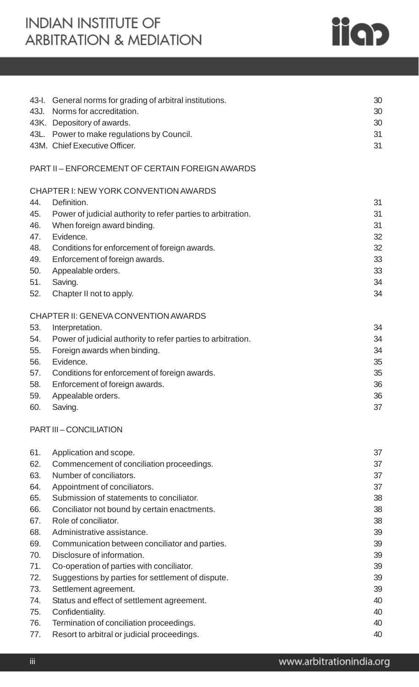# **INDIAN INSTITUTE OF ARBITRATION & MEDIATION**



|     | 43-I. General norms for grading of arbitral institutions.    | 30 |
|-----|--------------------------------------------------------------|----|
|     | 43J. Norms for accreditation.                                | 30 |
|     | 43K. Depository of awards.                                   | 30 |
|     | 43L. Power to make regulations by Council.                   | 31 |
|     | 43M. Chief Executive Officer.                                | 31 |
|     | PART II - ENFORCEMENT OF CERTAIN FOREIGN AWARDS              |    |
|     | CHAPTER I: NEW YORK CONVENTION AWARDS                        |    |
| 44. | Definition.                                                  | 31 |
| 45. | Power of judicial authority to refer parties to arbitration. | 31 |
| 46. | When foreign award binding.                                  | 31 |
| 47. | Evidence.                                                    | 32 |
| 48. | Conditions for enforcement of foreign awards.                | 32 |
| 49. | Enforcement of foreign awards.                               | 33 |
| 50. | Appealable orders.                                           | 33 |
| 51. | Saving.                                                      | 34 |
| 52. | Chapter II not to apply.                                     | 34 |
|     | CHAPTER II: GENEVA CONVENTION AWARDS                         |    |
| 53. | Interpretation.                                              | 34 |
| 54. | Power of judicial authority to refer parties to arbitration. | 34 |
| 55. | Foreign awards when binding.                                 | 34 |
| 56. | Evidence.                                                    | 35 |
| 57. | Conditions for enforcement of foreign awards.                | 35 |
| 58. | Enforcement of foreign awards.                               | 36 |
| 59. | Appealable orders.                                           | 36 |
| 60. | Saving.                                                      | 37 |
|     | PART III - CONCILIATION                                      |    |
| 61. | Application and scope.                                       | 37 |
| 62. | Commencement of conciliation proceedings.                    | 37 |
| 63. | Number of conciliators.                                      | 37 |
| 64. | Appointment of conciliators.                                 | 37 |
| 65. | Submission of statements to conciliator.                     | 38 |
| 66. | Conciliator not bound by certain enactments.                 | 38 |
| 67. | Role of conciliator.                                         | 38 |
| 68. | Administrative assistance.                                   | 39 |
| 69. | Communication between conciliator and parties.               | 39 |
| 70. | Disclosure of information.                                   | 39 |
| 71. | Co-operation of parties with conciliator.                    | 39 |
| 72. | Suggestions by parties for settlement of dispute.            | 39 |
| 73. | Settlement agreement.                                        | 39 |
| 74. | Status and effect of settlement agreement.                   | 40 |
| 75. | Confidentiality.                                             | 40 |
| 76. | Termination of conciliation proceedings.                     | 40 |
| 77. | Resort to arbitral or judicial proceedings.                  | 40 |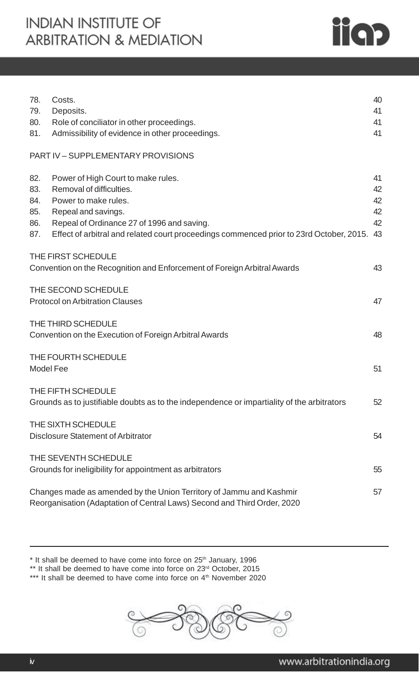

| 78. | Costs.                                                                                     | 40 |
|-----|--------------------------------------------------------------------------------------------|----|
| 79. | Deposits.                                                                                  | 41 |
| 80. | Role of conciliator in other proceedings.                                                  | 41 |
| 81. | Admissibility of evidence in other proceedings.                                            | 41 |
|     | PART IV - SUPPLEMENTARY PROVISIONS                                                         |    |
| 82. | Power of High Court to make rules.                                                         | 41 |
| 83. | Removal of difficulties.                                                                   | 42 |
| 84. | Power to make rules.                                                                       | 42 |
| 85. | Repeal and savings.                                                                        | 42 |
| 86. | Repeal of Ordinance 27 of 1996 and saving.                                                 | 42 |
| 87. | Effect of arbitral and related court proceedings commenced prior to 23rd October, 2015.    | 43 |
|     | THE FIRST SCHEDULE                                                                         |    |
|     | Convention on the Recognition and Enforcement of Foreign Arbitral Awards                   | 43 |
|     | THE SECOND SCHEDULE                                                                        |    |
|     | <b>Protocol on Arbitration Clauses</b>                                                     | 47 |
|     | THE THIRD SCHEDULE                                                                         |    |
|     | Convention on the Execution of Foreign Arbitral Awards                                     | 48 |
|     | THE FOURTH SCHEDULE                                                                        |    |
|     | Model Fee                                                                                  | 51 |
|     | THE FIFTH SCHEDULE                                                                         |    |
|     | Grounds as to justifiable doubts as to the independence or impartiality of the arbitrators | 52 |
|     | THE SIXTH SCHEDULE                                                                         |    |
|     | <b>Disclosure Statement of Arbitrator</b>                                                  | 54 |
|     | THE SEVENTH SCHEDULE                                                                       |    |
|     | Grounds for ineligibility for appointment as arbitrators                                   | 55 |
|     | Changes made as amended by the Union Territory of Jammu and Kashmir                        | 57 |
|     | Reorganisation (Adaptation of Central Laws) Second and Third Order, 2020                   |    |

<sup>\*\*\*</sup> It shall be deemed to have come into force on 4<sup>th</sup> November 2020



<sup>\*</sup> It shall be deemed to have come into force on 25<sup>th</sup> January, 1996

<sup>\*\*</sup> It shall be deemed to have come into force on 23rd October, 2015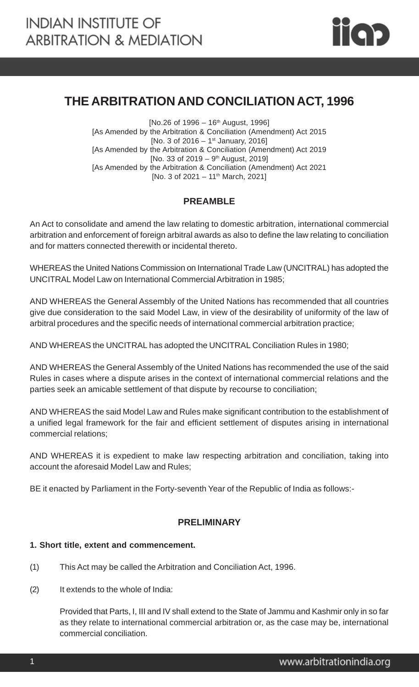

# **THE ARBITRATION AND CONCILIATION ACT, 1996**

 $[No.26 of 1996 - 16<sup>th</sup> August, 1996]$ [As Amended by the Arbitration & Conciliation (Amendment) Act 2015 [No. 3 of 2016 – 1st January, 2016] [As Amended by the Arbitration & Conciliation (Amendment) Act 2019 [No. 33 of 2019 –  $9<sup>th</sup>$  August, 2019] [As Amended by the Arbitration & Conciliation (Amendment) Act 2021 [No. 3 of 2021 – 11<sup>th</sup> March, 2021]

# **PREAMBLE**

An Act to consolidate and amend the law relating to domestic arbitration, international commercial arbitration and enforcement of foreign arbitral awards as also to define the law relating to conciliation and for matters connected therewith or incidental thereto.

WHEREAS the United Nations Commission on International Trade Law (UNCITRAL) has adopted the UNCITRAL Model Law on International Commercial Arbitration in 1985;

AND WHEREAS the General Assembly of the United Nations has recommended that all countries give due consideration to the said Model Law, in view of the desirability of uniformity of the law of arbitral procedures and the specific needs of international commercial arbitration practice;

AND WHEREAS the UNCITRAL has adopted the UNCITRAL Conciliation Rules in 1980;

AND WHEREAS the General Assembly of the United Nations has recommended the use of the said Rules in cases where a dispute arises in the context of international commercial relations and the parties seek an amicable settlement of that dispute by recourse to conciliation;

AND WHEREAS the said Model Law and Rules make significant contribution to the establishment of a unified legal framework for the fair and efficient settlement of disputes arising in international commercial relations;

AND WHEREAS it is expedient to make law respecting arbitration and conciliation, taking into account the aforesaid Model Law and Rules;

BE it enacted by Parliament in the Forty-seventh Year of the Republic of India as follows:-

# **PRELIMINARY**

# **1. Short title, extent and commencement.**

- (1) This Act may be called the Arbitration and Conciliation Act, 1996.
- (2) It extends to the whole of India:

Provided that Parts, I, III and IV shall extend to the State of Jammu and Kashmir only in so far as they relate to international commercial arbitration or, as the case may be, international commercial conciliation.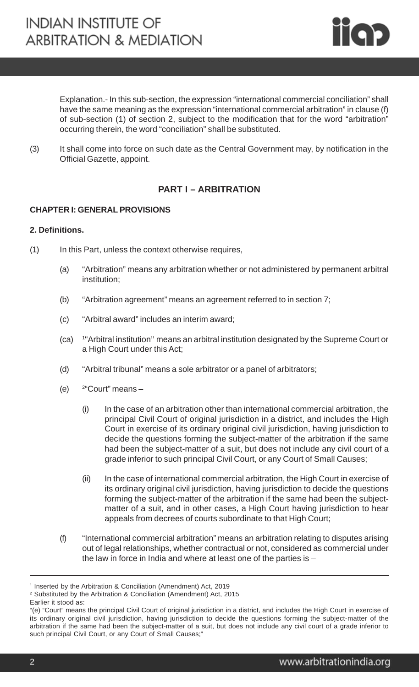

Explanation.- In this sub-section, the expression "international commercial conciliation" shall have the same meaning as the expression "international commercial arbitration" in clause (f) of sub-section (1) of section 2, subject to the modification that for the word "arbitration" occurring therein, the word "conciliation" shall be substituted.

(3) It shall come into force on such date as the Central Government may, by notification in the Official Gazette, appoint.

# **PART I – ARBITRATION**

### **CHAPTER I: GENERAL PROVISIONS**

### **2. Definitions.**

- (1) In this Part, unless the context otherwise requires,
	- (a) "Arbitration" means any arbitration whether or not administered by permanent arbitral institution;
	- (b) "Arbitration agreement" means an agreement referred to in section 7;
	- (c) "Arbitral award" includes an interim award;
	- $(ca)$ "Arbitral institution'' means an arbitral institution designated by the Supreme Court or a High Court under this Act;
	- (d) "Arbitral tribunal" means a sole arbitrator or a panel of arbitrators;
	- $(e)$ <sup>2"</sup>Court" means -
		- (i) In the case of an arbitration other than international commercial arbitration, the principal Civil Court of original jurisdiction in a district, and includes the High Court in exercise of its ordinary original civil jurisdiction, having jurisdiction to decide the questions forming the subject-matter of the arbitration if the same had been the subject-matter of a suit, but does not include any civil court of a grade inferior to such principal Civil Court, or any Court of Small Causes;
		- (ii) In the case of international commercial arbitration, the High Court in exercise of its ordinary original civil jurisdiction, having jurisdiction to decide the questions forming the subject-matter of the arbitration if the same had been the subjectmatter of a suit, and in other cases, a High Court having jurisdiction to hear appeals from decrees of courts subordinate to that High Court;
	- (f) "International commercial arbitration" means an arbitration relating to disputes arising out of legal relationships, whether contractual or not, considered as commercial under the law in force in India and where at least one of the parties is –

Earlier it stood as:

<sup>&</sup>lt;sup>1</sup> Inserted by the Arbitration & Conciliation (Amendment) Act, 2019

<sup>2</sup> Substituted by the Arbitration & Conciliation (Amendment) Act, 2015

<sup>&</sup>quot;(e) "Court" means the principal Civil Court of original jurisdiction in a district, and includes the High Court in exercise of its ordinary original civil jurisdiction, having jurisdiction to decide the questions forming the subject-matter of the arbitration if the same had been the subject-matter of a suit, but does not include any civil court of a grade inferior to such principal Civil Court, or any Court of Small Causes;"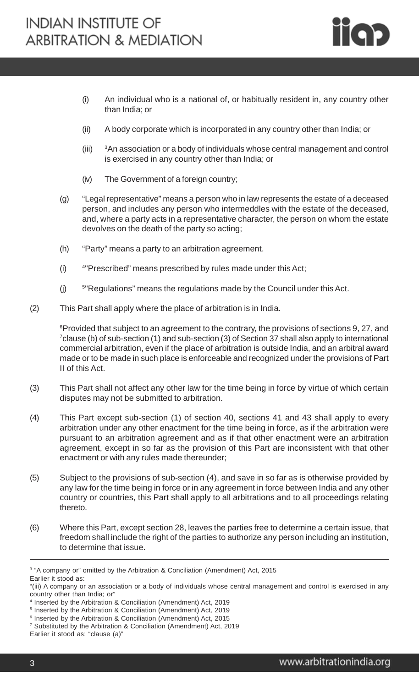

- (i) An individual who is a national of, or habitually resident in, any country other than India; or
- (ii) A body corporate which is incorporated in any country other than India; or
- $(iii)$ <sup>3</sup>An association or a body of individuals whose central management and control is exercised in any country other than India; or
- (iv) The Government of a foreign country;
- (g) "Legal representative" means a person who in law represents the estate of a deceased person, and includes any person who intermeddles with the estate of the deceased, and, where a party acts in a representative character, the person on whom the estate devolves on the death of the party so acting;
- (h) "Party" means a party to an arbitration agreement.
- (i) 4"Prescribed" means prescribed by rules made under this Act;
- $(i)$  <sup>5</sup>"Regulations" means the regulations made by the Council under this Act.
- (2) This Part shall apply where the place of arbitration is in India.

6 Provided that subject to an agreement to the contrary, the provisions of sections 9, 27, and 7 clause (b) of sub-section (1) and sub-section (3) of Section 37 shall also apply to international commercial arbitration, even if the place of arbitration is outside India, and an arbitral award made or to be made in such place is enforceable and recognized under the provisions of Part II of this Act.

- (3) This Part shall not affect any other law for the time being in force by virtue of which certain disputes may not be submitted to arbitration.
- (4) This Part except sub-section (1) of section 40, sections 41 and 43 shall apply to every arbitration under any other enactment for the time being in force, as if the arbitration were pursuant to an arbitration agreement and as if that other enactment were an arbitration agreement, except in so far as the provision of this Part are inconsistent with that other enactment or with any rules made thereunder;
- (5) Subject to the provisions of sub-section (4), and save in so far as is otherwise provided by any law for the time being in force or in any agreement in force between India and any other country or countries, this Part shall apply to all arbitrations and to all proceedings relating thereto.
- (6) Where this Part, except section 28, leaves the parties free to determine a certain issue, that freedom shall include the right of the parties to authorize any person including an institution, to determine that issue.

<sup>&</sup>lt;sup>3</sup> "A company or" omitted by the Arbitration & Conciliation (Amendment) Act, 2015

Earlier it stood as:

<sup>&</sup>quot;(iii) A company or an association or a body of individuals whose central management and control is exercised in any country other than India; or"

<sup>4</sup> Inserted by the Arbitration & Conciliation (Amendment) Act, 2019

<sup>5</sup> Inserted by the Arbitration & Conciliation (Amendment) Act, 2019

<sup>6</sup> Inserted by the Arbitration & Conciliation (Amendment) Act, 2015

<sup>7</sup> Substituted by the Arbitration & Conciliation (Amendment) Act, 2019

Earlier it stood as: "clause (a)"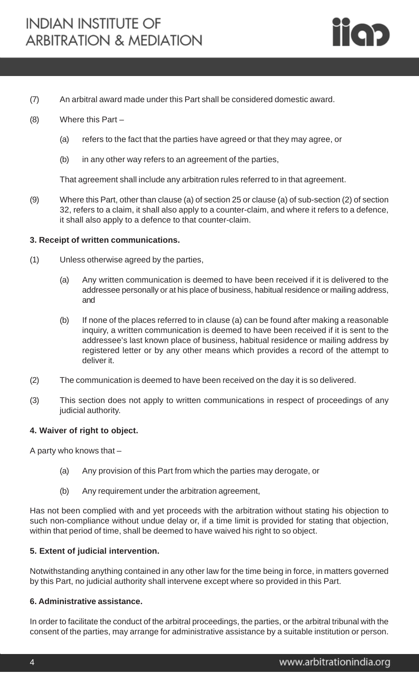

(7) An arbitral award made under this Part shall be considered domestic award.

### (8) Where this Part –

- (a) refers to the fact that the parties have agreed or that they may agree, or
- (b) in any other way refers to an agreement of the parties,

That agreement shall include any arbitration rules referred to in that agreement.

(9) Where this Part, other than clause (a) of section 25 or clause (a) of sub-section (2) of section 32, refers to a claim, it shall also apply to a counter-claim, and where it refers to a defence, it shall also apply to a defence to that counter-claim.

### **3. Receipt of written communications.**

- (1) Unless otherwise agreed by the parties,
	- (a) Any written communication is deemed to have been received if it is delivered to the addressee personally or at his place of business, habitual residence or mailing address, and
	- (b) If none of the places referred to in clause (a) can be found after making a reasonable inquiry, a written communication is deemed to have been received if it is sent to the addressee's last known place of business, habitual residence or mailing address by registered letter or by any other means which provides a record of the attempt to deliver it.
- (2) The communication is deemed to have been received on the day it is so delivered.
- (3) This section does not apply to written communications in respect of proceedings of any judicial authority.

### **4. Waiver of right to object.**

A party who knows that –

- (a) Any provision of this Part from which the parties may derogate, or
- (b) Any requirement under the arbitration agreement,

Has not been complied with and yet proceeds with the arbitration without stating his objection to such non-compliance without undue delay or, if a time limit is provided for stating that objection, within that period of time, shall be deemed to have waived his right to so object.

### **5. Extent of judicial intervention.**

Notwithstanding anything contained in any other law for the time being in force, in matters governed by this Part, no judicial authority shall intervene except where so provided in this Part.

### **6. Administrative assistance.**

In order to facilitate the conduct of the arbitral proceedings, the parties, or the arbitral tribunal with the consent of the parties, may arrange for administrative assistance by a suitable institution or person.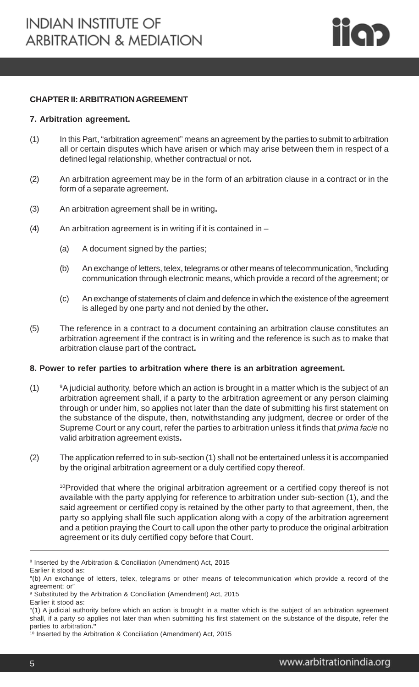

### **CHAPTER II: ARBITRATION AGREEMENT**

#### **7. Arbitration agreement.**

- (1) In this Part, "arbitration agreement" means an agreement by the parties to submit to arbitration all or certain disputes which have arisen or which may arise between them in respect of a defined legal relationship, whether contractual or not**.**
- (2) An arbitration agreement may be in the form of an arbitration clause in a contract or in the form of a separate agreement**.**
- (3) An arbitration agreement shall be in writing**.**
- $(4)$  An arbitration agreement is in writing if it is contained in
	- (a) A document signed by the parties;
	- (b) An exchange of letters, telex, telegrams or other means of telecommunication, <sup>8</sup>including communication through electronic means, which provide a record of the agreement; or
	- (c) An exchange of statements of claim and defence in which the existence of the agreement is alleged by one party and not denied by the other**.**
- (5) The reference in a contract to a document containing an arbitration clause constitutes an arbitration agreement if the contract is in writing and the reference is such as to make that arbitration clause part of the contract**.**

### **8. Power to refer parties to arbitration where there is an arbitration agreement.**

- $(1)$  9A judicial authority, before which an action is brought in a matter which is the subject of an arbitration agreement shall, if a party to the arbitration agreement or any person claiming through or under him, so applies not later than the date of submitting his first statement on the substance of the dispute, then, notwithstanding any judgment, decree or order of the Supreme Court or any court, refer the parties to arbitration unless it finds that *prima facie* no valid arbitration agreement exists**.**
- (2) The application referred to in sub-section (1) shall not be entertained unless it is accompanied by the original arbitration agreement or a duly certified copy thereof.

<sup>10</sup>Provided that where the original arbitration agreement or a certified copy thereof is not available with the party applying for reference to arbitration under sub-section (1), and the said agreement or certified copy is retained by the other party to that agreement, then, the party so applying shall file such application along with a copy of the arbitration agreement and a petition praying the Court to call upon the other party to produce the original arbitration agreement or its duly certified copy before that Court.

Earlier it stood as:

<sup>8</sup> Inserted by the Arbitration & Conciliation (Amendment) Act, 2015

<sup>&</sup>quot;(b) An exchange of letters, telex, telegrams or other means of telecommunication which provide a record of the agreement; or"

<sup>9</sup> Substituted by the Arbitration & Conciliation (Amendment) Act, 2015 Earlier it stood as:

<sup>&</sup>quot;(1) A judicial authority before which an action is brought in a matter which is the subject of an arbitration agreement shall, if a party so applies not later than when submitting his first statement on the substance of the dispute, refer the parties to arbitration**."**

<sup>10</sup> Inserted by the Arbitration & Conciliation (Amendment) Act, 2015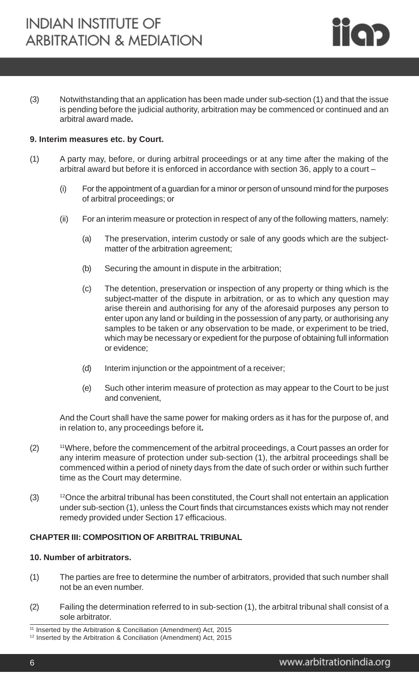

(3) Notwithstanding that an application has been made under sub**-**section (1) and that the issue is pending before the judicial authority, arbitration may be commenced or continued and an arbitral award made**.**

### **9. Interim measures etc. by Court.**

- (1) A party may, before, or during arbitral proceedings or at any time after the making of the arbitral award but before it is enforced in accordance with section 36, apply to a court –
	- (i) For the appointment of a guardian for a minor or person of unsound mind for the purposes of arbitral proceedings; or
	- (ii) For an interim measure or protection in respect of any of the following matters, namely:
		- (a) The preservation, interim custody or sale of any goods which are the subjectmatter of the arbitration agreement;
		- (b) Securing the amount in dispute in the arbitration;
		- (c) The detention, preservation or inspection of any property or thing which is the subject**-**matter of the dispute in arbitration, or as to which any question may arise therein and authorising for any of the aforesaid purposes any person to enter upon any land or building in the possession of any party, or authorising any samples to be taken or any observation to be made, or experiment to be tried, which may be necessary or expedient for the purpose of obtaining full information or evidence;
		- (d) Interim injunction or the appointment of a receiver;
		- (e) Such other interim measure of protection as may appear to the Court to be just and convenient,

And the Court shall have the same power for making orders as it has for the purpose of, and in relation to, any proceedings before it**.**

- (2) 11Where, before the commencement of the arbitral proceedings, a Court passes an order for any interim measure of protection under sub-section (1), the arbitral proceedings shall be commenced within a period of ninety days from the date of such order or within such further time as the Court may determine.
- $(3)$  <sup>12</sup>Once the arbitral tribunal has been constituted, the Court shall not entertain an application under sub-section (1), unless the Court finds that circumstances exists which may not render remedy provided under Section 17 efficacious.

# **CHAPTER III: COMPOSITION OF ARBITRAL TRIBUNAL**

### **10. Number of arbitrators.**

- (1) The parties are free to determine the number of arbitrators, provided that such number shall not be an even number.
- (2) Failing the determination referred to in sub-section (1), the arbitral tribunal shall consist of a sole arbitrator.

<sup>&</sup>lt;sup>11</sup> Inserted by the Arbitration & Conciliation (Amendment) Act, 2015 12 Inserted by the Arbitration & Conciliation (Amendment) Act, 2015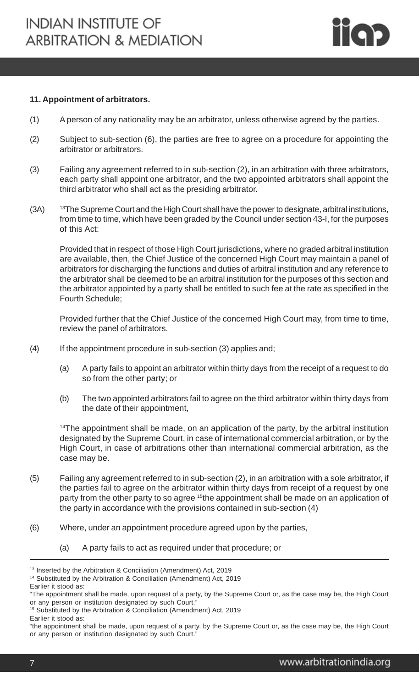

### **11. Appointment of arbitrators.**

- (1) A person of any nationality may be an arbitrator, unless otherwise agreed by the parties.
- (2) Subject to sub-section (6), the parties are free to agree on a procedure for appointing the arbitrator or arbitrators.
- (3) Failing any agreement referred to in sub-section (2), in an arbitration with three arbitrators, each party shall appoint one arbitrator, and the two appointed arbitrators shall appoint the third arbitrator who shall act as the presiding arbitrator.
- (3A) <sup>13</sup>The Supreme Court and the High Court shall have the power to designate, arbitral institutions, from time to time, which have been graded by the Council under section 43-I, for the purposes of this Act:

Provided that in respect of those High Court jurisdictions, where no graded arbitral institution are available, then, the Chief Justice of the concerned High Court may maintain a panel of arbitrators for discharging the functions and duties of arbitral institution and any reference to the arbitrator shall be deemed to be an arbitral institution for the purposes of this section and the arbitrator appointed by a party shall be entitled to such fee at the rate as specified in the Fourth Schedule;

Provided further that the Chief Justice of the concerned High Court may, from time to time, review the panel of arbitrators.

- (4) If the appointment procedure in sub-section (3) applies and;
	- (a) A party fails to appoint an arbitrator within thirty days from the receipt of a request to do so from the other party; or
	- (b) The two appointed arbitrators fail to agree on the third arbitrator within thirty days from the date of their appointment,

<sup>14</sup>The appointment shall be made, on an application of the party, by the arbitral institution designated by the Supreme Court, in case of international commercial arbitration, or by the High Court, in case of arbitrations other than international commercial arbitration, as the case may be.

- (5) Failing any agreement referred to in sub-section (2), in an arbitration with a sole arbitrator, if the parties fail to agree on the arbitrator within thirty days from receipt of a request by one party from the other party to so agree <sup>15</sup>the appointment shall be made on an application of the party in accordance with the provisions contained in sub-section (4)
- (6) Where, under an appointment procedure agreed upon by the parties,
	- (a) A party fails to act as required under that procedure; or

<sup>&</sup>lt;sup>13</sup> Inserted by the Arbitration & Conciliation (Amendment) Act, 2019

<sup>14</sup> Substituted by the Arbitration & Conciliation (Amendment) Act, 2019

Earlier it stood as:

<sup>&</sup>quot;The appointment shall be made, upon request of a party, by the Supreme Court or, as the case may be, the High Court or any person or institution designated by such Court."

<sup>15</sup> Substituted by the Arbitration & Conciliation (Amendment) Act, 2019 Earlier it stood as:

<sup>&</sup>quot;the appointment shall be made, upon request of a party, by the Supreme Court or, as the case may be, the High Court or any person or institution designated by such Court."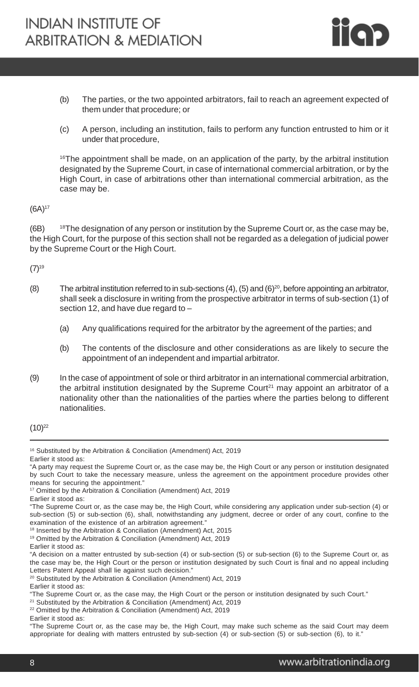

- (b) The parties, or the two appointed arbitrators, fail to reach an agreement expected of them under that procedure; or
- (c) A person, including an institution, fails to perform any function entrusted to him or it under that procedure,

 $16$ The appointment shall be made, on an application of the party, by the arbitral institution designated by the Supreme Court, in case of international commercial arbitration, or by the High Court, in case of arbitrations other than international commercial arbitration, as the case may be.

 $(6A)^{17}$ 

 $(6B)$  <sup>18</sup>The designation of any person or institution by the Supreme Court or, as the case may be, the High Court, for the purpose of this section shall not be regarded as a delegation of judicial power by the Supreme Court or the High Court.

 $(7)^{19}$ 

- (8) The arbitral institution referred to in sub-sections (4), (5) and (6)<sup>20</sup>, before appointing an arbitrator, shall seek a disclosure in writing from the prospective arbitrator in terms of sub-section (1) of section 12, and have due regard to –
	- (a) Any qualifications required for the arbitrator by the agreement of the parties; and
	- (b) The contents of the disclosure and other considerations as are likely to secure the appointment of an independent and impartial arbitrator.
- (9) In the case of appointment of sole or third arbitrator in an international commercial arbitration, the arbitral institution designated by the Supreme Court<sup>21</sup> may appoint an arbitrator of a nationality other than the nationalities of the parties where the parties belong to different nationalities.

### $(10)^{22}$

Earlier it stood as:

- <sup>21</sup> Substituted by the Arbitration & Conciliation (Amendment) Act, 2019
- 22 Omitted by the Arbitration & Conciliation (Amendment) Act, 2019

<sup>16</sup> Substituted by the Arbitration & Conciliation (Amendment) Act, 2019

Earlier it stood as:

<sup>&</sup>quot;A party may request the Supreme Court or, as the case may be, the High Court or any person or institution designated by such Court to take the necessary measure, unless the agreement on the appointment procedure provides other means for securing the appointment."

<sup>17</sup> Omitted by the Arbitration & Conciliation (Amendment) Act, 2019

Earlier it stood as:

<sup>&</sup>quot;The Supreme Court or, as the case may be, the High Court, while considering any application under sub-section (4) or sub-section (5) or sub-section (6), shall, notwithstanding any judgment, decree or order of any court, confine to the examination of the existence of an arbitration agreement.'

<sup>18</sup> Inserted by the Arbitration & Conciliation (Amendment) Act, 2015

<sup>19</sup> Omitted by the Arbitration & Conciliation (Amendment) Act, 2019

<sup>&</sup>quot;A decision on a matter entrusted by sub-section (4) or sub-section (5) or sub-section (6) to the Supreme Court or, as the case may be, the High Court or the person or institution designated by such Court is final and no appeal including Letters Patent Appeal shall lie against such decision."

<sup>&</sup>lt;sup>20</sup> Substituted by the Arbitration & Conciliation (Amendment) Act, 2019

Earlier it stood as:

<sup>&</sup>quot;The Supreme Court or, as the case may, the High Court or the person or institution designated by such Court."

Earlier it stood as:

<sup>&</sup>quot;The Supreme Court or, as the case may be, the High Court, may make such scheme as the said Court may deem appropriate for dealing with matters entrusted by sub-section (4) or sub-section (5) or sub-section (6), to it."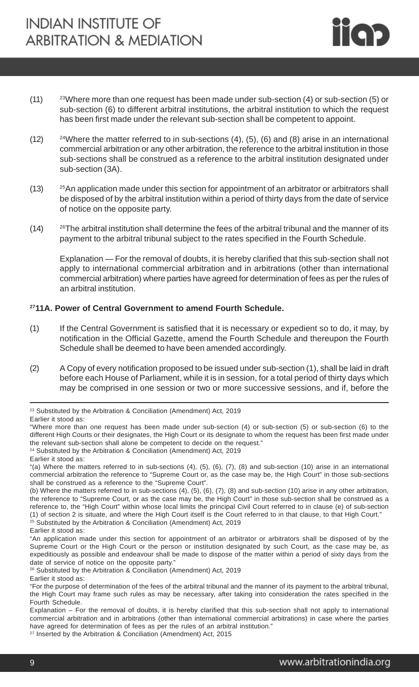

- $(11)$  <sup>23</sup>Where more than one request has been made under sub-section (4) or sub-section (5) or sub-section (6) to different arbitral institutions, the arbitral institution to which the request has been first made under the relevant sub-section shall be competent to appoint.
- $(12)$  <sup>24</sup>Where the matter referred to in sub-sections  $(4)$ ,  $(5)$ ,  $(6)$  and  $(8)$  arise in an international commercial arbitration or any other arbitration, the reference to the arbitral institution in those sub-sections shall be construed as a reference to the arbitral institution designated under sub-section (3A).
- (13) <sup>25</sup>An application made under this section for appointment of an arbitrator or arbitrators shall be disposed of by the arbitral institution within a period of thirty days from the date of service of notice on the opposite party.
- $(14)$  <sup>26</sup>The arbitral institution shall determine the fees of the arbitral tribunal and the manner of its payment to the arbitral tribunal subject to the rates specified in the Fourth Schedule.

Explanation — For the removal of doubts, it is hereby clarified that this sub-section shall not apply to international commercial arbitration and in arbitrations (other than international commercial arbitration) where parties have agreed for determination of fees as per the rules of an arbitral institution.

### **2711A. Power of Central Government to amend Fourth Schedule.**

- (1) If the Central Government is satisfied that it is necessary or expedient so to do, it may, by notification in the Official Gazette, amend the Fourth Schedule and thereupon the Fourth Schedule shall be deemed to have been amended accordingly.
- (2) A Copy of every notification proposed to be issued under sub-section (1), shall be laid in draft before each House of Parliament, while it is in session, for a total period of thirty days which may be comprised in one session or two or more successive sessions, and if, before the

Earlier it stood as:

Earlier it stood as:

<sup>&</sup>lt;sup>23</sup> Substituted by the Arbitration & Conciliation (Amendment) Act, 2019 Earlier it stood as:

<sup>&</sup>quot;Where more than one request has been made under sub-section (4) or sub-section (5) or sub-section (6) to the different High Courts or their designates, the High Court or its designate to whom the request has been first made under the relevant sub-section shall alone be competent to decide on the request." <sup>24</sup> Substituted by the Arbitration & Conciliation (Amendment) Act, 2019

<sup>&</sup>quot;(a) Where the matters referred to in sub-sections  $(4)$ ,  $(5)$ ,  $(6)$ ,  $(7)$ ,  $(8)$  and sub-section  $(10)$  arise in an international commercial arbitration the reference to "Supreme Court or, as the case may be, the High Court" in those sub-sections shall be construed as a reference to the "Supreme Court".

<sup>(</sup>b) Where the matters referred to in sub-sections (4), (5), (6), (7), (8) and sub-section (10) arise in any other arbitration, the reference to "Supreme Court, or as the case may be, the High Court" in those sub-section shall be construed as a reference to, the "High Court" within whose local limits the principal Civil Court referred to in clause (e) of sub-section (1) of section 2 is situate, and where the High Court itself is the Court referred to in that clause, to that High Court." <sup>25</sup> Substituted by the Arbitration & Conciliation (Amendment) Act, 2019 Earlier it stood as:

<sup>&</sup>quot;An application made under this section for appointment of an arbitrator or arbitrators shall be disposed of by the Supreme Court or the High Court or the person or institution designated by such Court, as the case may be, as expeditiously as possible and endeavour shall be made to dispose of the matter within a period of sixty days from the date of service of notice on the opposite party."

<sup>26</sup> Substituted by the Arbitration & Conciliation (Amendment) Act, 2019

<sup>&</sup>quot;For the purpose of determination of the fees of the arbitral tribunal and the manner of its payment to the arbitral tribunal, the High Court may frame such rules as may be necessary, after taking into consideration the rates specified in the Fourth Schedule.

Explanation – For the removal of doubts, it is hereby clarified that this sub-section shall not apply to international commercial arbitration and in arbitrations (other than international commercial arbitrations) in case where the parties have agreed for determination of fees as per the rules of an arbitral institution."

<sup>&</sup>lt;sup>27</sup> Inserted by the Arbitration & Conciliation (Amendment) Act, 2015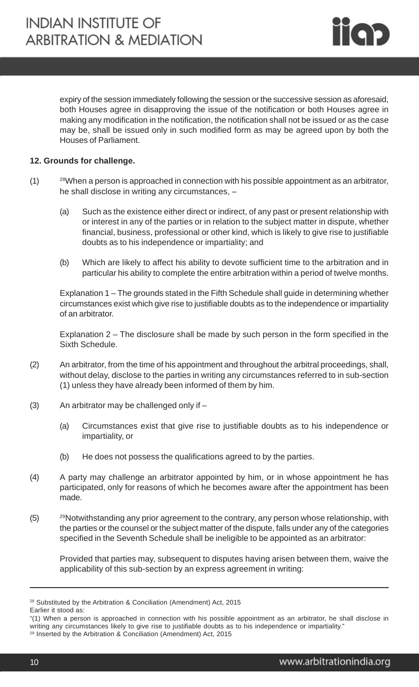

expiry of the session immediately following the session or the successive session as aforesaid, both Houses agree in disapproving the issue of the notification or both Houses agree in making any modification in the notification, the notification shall not be issued or as the case may be, shall be issued only in such modified form as may be agreed upon by both the Houses of Parliament.

### **12. Grounds for challenge.**

- $(1)$  <sup>28</sup>When a person is approached in connection with his possible appointment as an arbitrator, he shall disclose in writing any circumstances, –
	- (a) Such as the existence either direct or indirect, of any past or present relationship with or interest in any of the parties or in relation to the subject matter in dispute, whether financial, business, professional or other kind, which is likely to give rise to justifiable doubts as to his independence or impartiality; and
	- (b) Which are likely to affect his ability to devote sufficient time to the arbitration and in particular his ability to complete the entire arbitration within a period of twelve months.

Explanation 1 – The grounds stated in the Fifth Schedule shall guide in determining whether circumstances exist which give rise to justifiable doubts as to the independence or impartiality of an arbitrator.

Explanation 2 – The disclosure shall be made by such person in the form specified in the Sixth Schedule.

- (2) An arbitrator, from the time of his appointment and throughout the arbitral proceedings, shall, without delay, disclose to the parties in writing any circumstances referred to in sub-section (1) unless they have already been informed of them by him.
- (3) An arbitrator may be challenged only if
	- (a) Circumstances exist that give rise to justifiable doubts as to his independence or impartiality, or
	- (b) He does not possess the qualifications agreed to by the parties.
- (4) A party may challenge an arbitrator appointed by him, or in whose appointment he has participated, only for reasons of which he becomes aware after the appointment has been made.
- (5) 29Notwithstanding any prior agreement to the contrary, any person whose relationship, with the parties or the counsel or the subject matter of the dispute, falls under any of the categories specified in the Seventh Schedule shall be ineligible to be appointed as an arbitrator:

Provided that parties may, subsequent to disputes having arisen between them, waive the applicability of this sub-section by an express agreement in writing:

<sup>28</sup> Substituted by the Arbitration & Conciliation (Amendment) Act, 2015

Earlier it stood as:

<sup>&</sup>quot;(1) When a person is approached in connection with his possible appointment as an arbitrator, he shall disclose in writing any circumstances likely to give rise to justifiable doubts as to his independence or impartiality." 29 Inserted by the Arbitration & Conciliation (Amendment) Act, 2015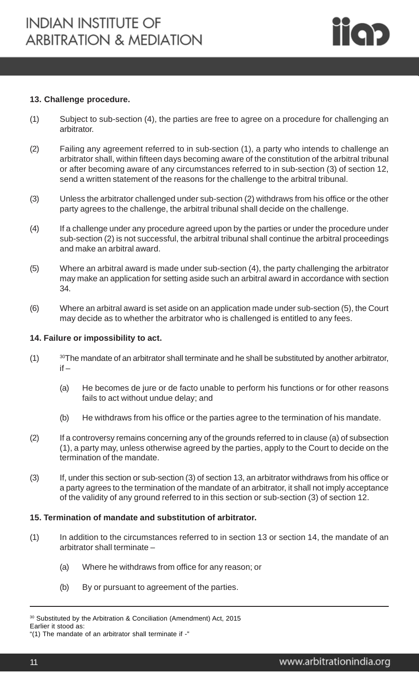

### **13. Challenge procedure.**

- (1) Subject to sub-section (4), the parties are free to agree on a procedure for challenging an arbitrator.
- (2) Failing any agreement referred to in sub-section (1), a party who intends to challenge an arbitrator shall, within fifteen days becoming aware of the constitution of the arbitral tribunal or after becoming aware of any circumstances referred to in sub-section (3) of section 12, send a written statement of the reasons for the challenge to the arbitral tribunal.
- (3) Unless the arbitrator challenged under sub-section (2) withdraws from his office or the other party agrees to the challenge, the arbitral tribunal shall decide on the challenge.
- (4) If a challenge under any procedure agreed upon by the parties or under the procedure under sub-section (2) is not successful, the arbitral tribunal shall continue the arbitral proceedings and make an arbitral award.
- (5) Where an arbitral award is made under sub-section (4), the party challenging the arbitrator may make an application for setting aside such an arbitral award in accordance with section 34.
- (6) Where an arbitral award is set aside on an application made under sub-section (5), the Court may decide as to whether the arbitrator who is challenged is entitled to any fees.

### **14. Failure or impossibility to act.**

- $(1)$  <sup>30</sup>The mandate of an arbitrator shall terminate and he shall be substituted by another arbitrator,  $if =$ 
	- (a) He becomes de jure or de facto unable to perform his functions or for other reasons fails to act without undue delay; and
	- (b) He withdraws from his office or the parties agree to the termination of his mandate.
- (2) If a controversy remains concerning any of the grounds referred to in clause (a) of subsection (1), a party may, unless otherwise agreed by the parties, apply to the Court to decide on the termination of the mandate.
- (3) If, under this section or sub-section (3) of section 13, an arbitrator withdraws from his office or a party agrees to the termination of the mandate of an arbitrator, it shall not imply acceptance of the validity of any ground referred to in this section or sub-section (3) of section 12.

### **15. Termination of mandate and substitution of arbitrator.**

- (1) In addition to the circumstances referred to in section 13 or section 14, the mandate of an arbitrator shall terminate –
	- (a) Where he withdraws from office for any reason; or
	- (b) By or pursuant to agreement of the parties.

<sup>30</sup> Substituted by the Arbitration & Conciliation (Amendment) Act, 2015 Earlier it stood as:

<sup>&</sup>quot;(1) The mandate of an arbitrator shall terminate if -"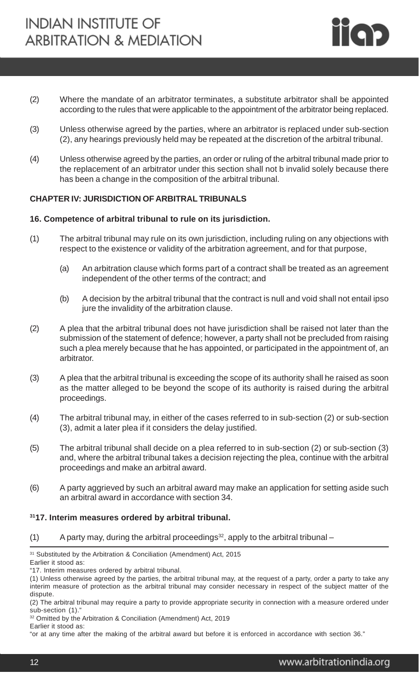

- (2) Where the mandate of an arbitrator terminates, a substitute arbitrator shall be appointed according to the rules that were applicable to the appointment of the arbitrator being replaced.
- (3) Unless otherwise agreed by the parties, where an arbitrator is replaced under sub-section (2), any hearings previously held may be repeated at the discretion of the arbitral tribunal.
- (4) Unless otherwise agreed by the parties, an order or ruling of the arbitral tribunal made prior to the replacement of an arbitrator under this section shall not b invalid solely because there has been a change in the composition of the arbitral tribunal.

### **CHAPTER IV: JURISDICTION OF ARBITRAL TRIBUNALS**

### **16. Competence of arbitral tribunal to rule on its jurisdiction.**

- (1) The arbitral tribunal may rule on its own jurisdiction, including ruling on any objections with respect to the existence or validity of the arbitration agreement, and for that purpose,
	- (a) An arbitration clause which forms part of a contract shall be treated as an agreement independent of the other terms of the contract; and
	- (b) A decision by the arbitral tribunal that the contract is null and void shall not entail ipso jure the invalidity of the arbitration clause.
- (2) A plea that the arbitral tribunal does not have jurisdiction shall be raised not later than the submission of the statement of defence; however, a party shall not be precluded from raising such a plea merely because that he has appointed, or participated in the appointment of, an arbitrator.
- (3) A plea that the arbitral tribunal is exceeding the scope of its authority shall he raised as soon as the matter alleged to be beyond the scope of its authority is raised during the arbitral proceedings.
- (4) The arbitral tribunal may, in either of the cases referred to in sub-section (2) or sub-section (3), admit a later plea if it considers the delay justified.
- (5) The arbitral tribunal shall decide on a plea referred to in sub-section (2) or sub-section (3) and, where the arbitral tribunal takes a decision rejecting the plea, continue with the arbitral proceedings and make an arbitral award.
- (6) A party aggrieved by such an arbitral award may make an application for setting aside such an arbitral award in accordance with section 34.

### **3117. Interim measures ordered by arbitral tribunal.**

(1) A party may, during the arbitral proceedings<sup>32</sup>, apply to the arbitral tribunal  $-$ 

<sup>31</sup> Substituted by the Arbitration & Conciliation (Amendment) Act, 2015

<sup>32</sup> Omitted by the Arbitration & Conciliation (Amendment) Act, 2019

Earlier it stood as:

Earlier it stood as: "17. Interim measures ordered by arbitral tribunal.

<sup>(1)</sup> Unless otherwise agreed by the parties, the arbitral tribunal may, at the request of a party, order a party to take any interim measure of protection as the arbitral tribunal may consider necessary in respect of the subject matter of the dispute.

<sup>(2)</sup> The arbitral tribunal may require a party to provide appropriate security in connection with a measure ordered under sub-section (1).

<sup>&</sup>quot;or at any time after the making of the arbitral award but before it is enforced in accordance with section 36."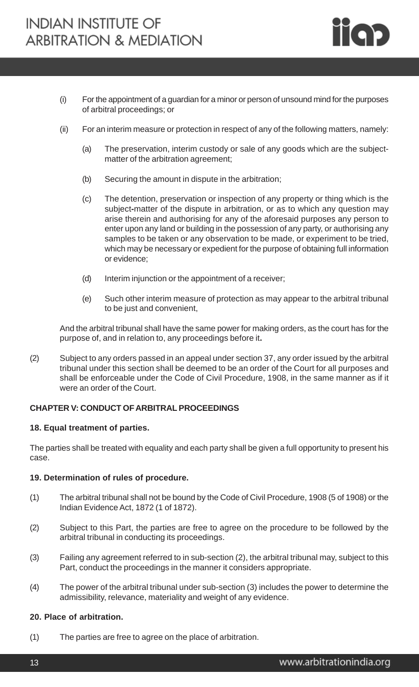

- (i) For the appointment of a guardian for a minor or person of unsound mind for the purposes of arbitral proceedings; or
- (ii) For an interim measure or protection in respect of any of the following matters, namely:
	- (a) The preservation, interim custody or sale of any goods which are the subjectmatter of the arbitration agreement;
	- (b) Securing the amount in dispute in the arbitration;
	- (c) The detention, preservation or inspection of any property or thing which is the subject**-**matter of the dispute in arbitration, or as to which any question may arise therein and authorising for any of the aforesaid purposes any person to enter upon any land or building in the possession of any party, or authorising any samples to be taken or any observation to be made, or experiment to be tried, which may be necessary or expedient for the purpose of obtaining full information or evidence;
	- (d) Interim injunction or the appointment of a receiver;
	- (e) Such other interim measure of protection as may appear to the arbitral tribunal to be just and convenient,

And the arbitral tribunal shall have the same power for making orders, as the court has for the purpose of, and in relation to, any proceedings before it**.**

(2) Subject to any orders passed in an appeal under section 37, any order issued by the arbitral tribunal under this section shall be deemed to be an order of the Court for all purposes and shall be enforceable under the Code of Civil Procedure, 1908, in the same manner as if it were an order of the Court.

### **CHAPTER V: CONDUCT OF ARBITRAL PROCEEDINGS**

### **18. Equal treatment of parties.**

The parties shall be treated with equality and each party shall be given a full opportunity to present his case.

### **19. Determination of rules of procedure.**

- (1) The arbitral tribunal shall not be bound by the Code of Civil Procedure, 1908 (5 of 1908) or the Indian Evidence Act, 1872 (1 of 1872).
- (2) Subject to this Part, the parties are free to agree on the procedure to be followed by the arbitral tribunal in conducting its proceedings.
- (3) Failing any agreement referred to in sub-section (2), the arbitral tribunal may, subject to this Part, conduct the proceedings in the manner it considers appropriate.
- (4) The power of the arbitral tribunal under sub-section (3) includes the power to determine the admissibility, relevance, materiality and weight of any evidence.

### **20. Place of arbitration.**

(1) The parties are free to agree on the place of arbitration.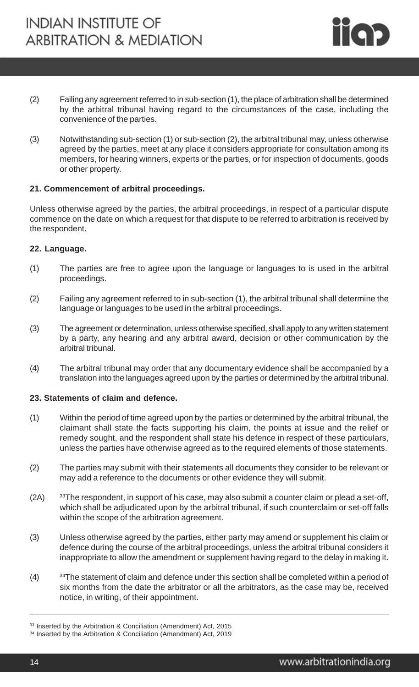

- (2) Failing any agreement referred to in sub-section (1), the place of arbitration shall be determined by the arbitral tribunal having regard to the circumstances of the case, including the convenience of the parties.
- (3) Notwithstanding sub-section (1) or sub-section (2), the arbitral tribunal may, unless otherwise agreed by the parties, meet at any place it considers appropriate for consultation among its members, for hearing winners, experts or the parties, or for inspection of documents, goods or other property.

### **21. Commencement of arbitral proceedings.**

Unless otherwise agreed by the parties, the arbitral proceedings, in respect of a particular dispute commence on the date on which a request for that dispute to be referred to arbitration is received by the respondent.

### **22. Language.**

- (1) The parties are free to agree upon the language or languages to is used in the arbitral proceedings.
- (2) Failing any agreement referred to in sub-section (1), the arbitral tribunal shall determine the language or languages to be used in the arbitral proceedings.
- (3) The agreement or determination, unless otherwise specified, shall apply to any written statement by a party, any hearing and any arbitral award, decision or other communication by the arbitral tribunal.
- (4) The arbitral tribunal may order that any documentary evidence shall be accompanied by a translation into the languages agreed upon by the parties or determined by the arbitral tribunal.

### **23. Statements of claim and defence.**

- (1) Within the period of time agreed upon by the parties or determined by the arbitral tribunal, the claimant shall state the facts supporting his claim, the points at issue and the relief or remedy sought, and the respondent shall state his defence in respect of these particulars, unless the parties have otherwise agreed as to the required elements of those statements.
- (2) The parties may submit with their statements all documents they consider to be relevant or may add a reference to the documents or other evidence they will submit.
- $(2A)$  <sup>33</sup>The respondent, in support of his case, may also submit a counter claim or plead a set-off, which shall be adjudicated upon by the arbitral tribunal, if such counterclaim or set-off falls within the scope of the arbitration agreement.
- (3) Unless otherwise agreed by the parties, either party may amend or supplement his claim or defence during the course of the arbitral proceedings, unless the arbitral tribunal considers it inappropriate to allow the amendment or supplement having regard to the delay in making it.
- $(4)$  <sup>34</sup>The statement of claim and defence under this section shall be completed within a period of six months from the date the arbitrator or all the arbitrators, as the case may be, received notice, in writing, of their appointment.

<sup>33</sup> Inserted by the Arbitration & Conciliation (Amendment) Act, 2015

<sup>34</sup> Inserted by the Arbitration & Conciliation (Amendment) Act, 2019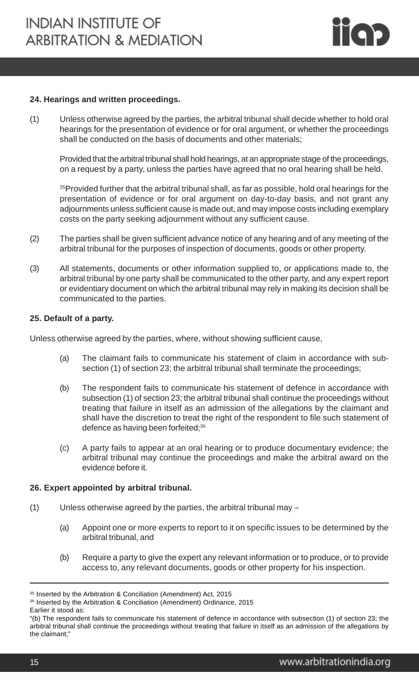

### **24. Hearings and written proceedings.**

(1) Unless otherwise agreed by the parties, the arbitral tribunal shall decide whether to hold oral hearings for the presentation of evidence or for oral argument, or whether the proceedings shall be conducted on the basis of documents and other materials;

Provided that the arbitral tribunal shall hold hearings, at an appropriate stage of the proceedings, on a request by a party, unless the parties have agreed that no oral hearing shall be held.

 $35$ Provided further that the arbitral tribunal shall, as far as possible, hold oral hearings for the presentation of evidence or for oral argument on day-to-day basis, and not grant any adjournments unless sufficient cause is made out, and may impose costs including exemplary costs on the party seeking adjournment without any sufficient cause.

- (2) The parties shall be given sufficient advance notice of any hearing and of any meeting of the arbitral tribunal for the purposes of inspection of documents, goods or other property.
- (3) All statements, documents or other information supplied to, or applications made to, the arbitral tribunal by one party shall be communicated to the other party, and any expert report or evidentiary document on which the arbitral tribunal may rely in making its decision shall be communicated to the parties.

### **25. Default of a party.**

Unless otherwise agreed by the parties, where, without showing sufficient cause,

- (a) The claimant fails to communicate his statement of claim in accordance with subsection (1) of section 23; the arbitral tribunal shall terminate the proceedings;
- (b) The respondent fails to communicate his statement of defence in accordance with subsection (1) of section 23; the arbitral tribunal shall continue the proceedings without treating that failure in itself as an admission of the allegations by the claimant and shall have the discretion to treat the right of the respondent to file such statement of defence as having been forfeited;<sup>36</sup>
- (c) A party fails to appear at an oral hearing or to produce documentary evidence; the arbitral tribunal may continue the proceedings and make the arbitral award on the evidence before it.

### **26. Expert appointed by arbitral tribunal.**

- (1) Unless otherwise agreed by the parties, the arbitral tribunal may
	- (a) Appoint one or more experts to report to it on specific issues to be determined by the arbitral tribunal, and
	- (b) Require a party to give the expert any relevant information or to produce, or to provide access to, any relevant documents, goods or other property for his inspection.

<sup>35</sup> Inserted by the Arbitration & Conciliation (Amendment) Act, 2015

<sup>36</sup> Inserted by the Arbitration & Conciliation (Amendment) Ordinance, 2015

Earlier it stood as:

<sup>&</sup>quot;(b) The respondent fails to communicate his statement of defence in accordance with subsection (1) of section 23; the arbitral tribunal shall continue the proceedings without treating that failure in itself as an admission of the allegations by the claimant;"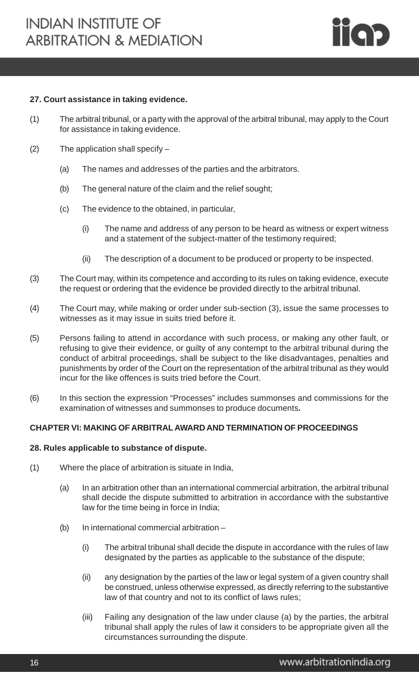

### **27. Court assistance in taking evidence.**

- (1) The arbitral tribunal, or a party with the approval of the arbitral tribunal, may apply to the Court for assistance in taking evidence.
- (2) The application shall specify
	- (a) The names and addresses of the parties and the arbitrators.
	- (b) The general nature of the claim and the relief sought;
	- (c) The evidence to the obtained, in particular,
		- (i) The name and address of any person to be heard as witness or expert witness and a statement of the subject-matter of the testimony required;
		- (ii) The description of a document to be produced or property to be inspected.
- (3) The Court may, within its competence and according to its rules on taking evidence, execute the request or ordering that the evidence be provided directly to the arbitral tribunal.
- (4) The Court may, while making or order under sub-section (3), issue the same processes to witnesses as it may issue in suits tried before it.
- (5) Persons failing to attend in accordance with such process, or making any other fault, or refusing to give their evidence, or guilty of any contempt to the arbitral tribunal during the conduct of arbitral proceedings, shall be subject to the like disadvantages, penalties and punishments by order of the Court on the representation of the arbitral tribunal as they would incur for the like offences is suits tried before the Court.
- (6) In this section the expression "Processes" includes summonses and commissions for the examination of witnesses and summonses to produce documents**.**

### **CHAPTER VI: MAKING OF ARBITRAL AWARD AND TERMINATION OF PROCEEDINGS**

### **28. Rules applicable to substance of dispute.**

- (1) Where the place of arbitration is situate in India,
	- (a) In an arbitration other than an international commercial arbitration, the arbitral tribunal shall decide the dispute submitted to arbitration in accordance with the substantive law for the time being in force in India;
	- (b) In international commercial arbitration
		- (i) The arbitral tribunal shall decide the dispute in accordance with the rules of law designated by the parties as applicable to the substance of the dispute;
		- (ii) any designation by the parties of the law or legal system of a given country shall be construed, unless otherwise expressed, as directly referring to the substantive law of that country and not to its conflict of laws rules;
		- (iii) Failing any designation of the law under clause (a) by the parties, the arbitral tribunal shall apply the rules of law it considers to be appropriate given all the circumstances surrounding the dispute.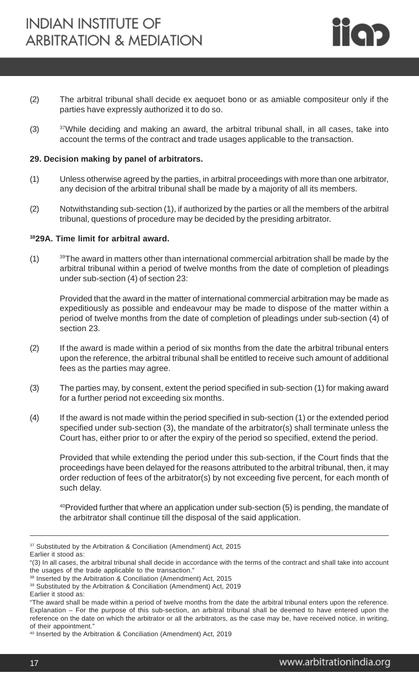

- (2) The arbitral tribunal shall decide ex aequoet bono or as amiable compositeur only if the parties have expressly authorized it to do so.
- $(3)$  <sup>37</sup>While deciding and making an award, the arbitral tribunal shall, in all cases, take into account the terms of the contract and trade usages applicable to the transaction.

### **29. Decision making by panel of arbitrators.**

- (1) Unless otherwise agreed by the parties, in arbitral proceedings with more than one arbitrator, any decision of the arbitral tribunal shall be made by a majority of all its members.
- (2) Notwithstanding sub-section (1), if authorized by the parties or all the members of the arbitral tribunal, questions of procedure may be decided by the presiding arbitrator.

### **3829A. Time limit for arbitral award.**

 $(1)$  <sup>39</sup>The award in matters other than international commercial arbitration shall be made by the arbitral tribunal within a period of twelve months from the date of completion of pleadings under sub-section (4) of section 23:

Provided that the award in the matter of international commercial arbitration may be made as expeditiously as possible and endeavour may be made to dispose of the matter within a period of twelve months from the date of completion of pleadings under sub-section (4) of section 23.

- (2) If the award is made within a period of six months from the date the arbitral tribunal enters upon the reference, the arbitral tribunal shall be entitled to receive such amount of additional fees as the parties may agree.
- (3) The parties may, by consent, extent the period specified in sub-section (1) for making award for a further period not exceeding six months.
- (4) If the award is not made within the period specified in sub-section (1) or the extended period specified under sub-section (3), the mandate of the arbitrator(s) shall terminate unless the Court has, either prior to or after the expiry of the period so specified, extend the period.

Provided that while extending the period under this sub-section, if the Court finds that the proceedings have been delayed for the reasons attributed to the arbitral tribunal, then, it may order reduction of fees of the arbitrator(s) by not exceeding five percent, for each month of such delay.

40Provided further that where an application under sub-section (5) is pending, the mandate of the arbitrator shall continue till the disposal of the said application.

Earlier it stood as:

<sup>&</sup>lt;sup>37</sup> Substituted by the Arbitration & Conciliation (Amendment) Act, 2015

<sup>&</sup>quot;(3) In all cases, the arbitral tribunal shall decide in accordance with the terms of the contract and shall take into account the usages of the trade applicable to the transaction."

<sup>38</sup> Inserted by the Arbitration & Conciliation (Amendment) Act, 2015

<sup>39</sup> Substituted by the Arbitration & Conciliation (Amendment) Act, 2019 Earlier it stood as:

<sup>&</sup>quot;The award shall be made within a period of twelve months from the date the arbitral tribunal enters upon the reference. Explanation – For the purpose of this sub-section, an arbitral tribunal shall be deemed to have entered upon the reference on the date on which the arbitrator or all the arbitrators, as the case may be, have received notice, in writing, of their appointment."

<sup>40</sup> Inserted by the Arbitration & Conciliation (Amendment) Act, 2019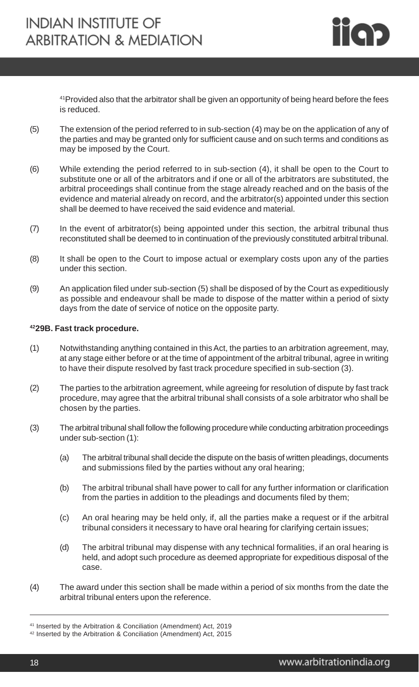

<sup>41</sup> Provided also that the arbitrator shall be given an opportunity of being heard before the fees is reduced.

- (5) The extension of the period referred to in sub-section (4) may be on the application of any of the parties and may be granted only for sufficient cause and on such terms and conditions as may be imposed by the Court.
- (6) While extending the period referred to in sub-section (4), it shall be open to the Court to substitute one or all of the arbitrators and if one or all of the arbitrators are substituted, the arbitral proceedings shall continue from the stage already reached and on the basis of the evidence and material already on record, and the arbitrator(s) appointed under this section shall be deemed to have received the said evidence and material.
- (7) In the event of arbitrator(s) being appointed under this section, the arbitral tribunal thus reconstituted shall be deemed to in continuation of the previously constituted arbitral tribunal.
- (8) It shall be open to the Court to impose actual or exemplary costs upon any of the parties under this section.
- (9) An application filed under sub-section (5) shall be disposed of by the Court as expeditiously as possible and endeavour shall be made to dispose of the matter within a period of sixty days from the date of service of notice on the opposite party.

### **4229B. Fast track procedure.**

- (1) Notwithstanding anything contained in this Act, the parties to an arbitration agreement, may, at any stage either before or at the time of appointment of the arbitral tribunal, agree in writing to have their dispute resolved by fast track procedure specified in sub-section (3).
- (2) The parties to the arbitration agreement, while agreeing for resolution of dispute by fast track procedure, may agree that the arbitral tribunal shall consists of a sole arbitrator who shall be chosen by the parties.
- (3) The arbitral tribunal shall follow the following procedure while conducting arbitration proceedings under sub-section (1):
	- (a) The arbitral tribunal shall decide the dispute on the basis of written pleadings, documents and submissions filed by the parties without any oral hearing;
	- (b) The arbitral tribunal shall have power to call for any further information or clarification from the parties in addition to the pleadings and documents filed by them;
	- (c) An oral hearing may be held only, if, all the parties make a request or if the arbitral tribunal considers it necessary to have oral hearing for clarifying certain issues;
	- (d) The arbitral tribunal may dispense with any technical formalities, if an oral hearing is held, and adopt such procedure as deemed appropriate for expeditious disposal of the case.
- (4) The award under this section shall be made within a period of six months from the date the arbitral tribunal enters upon the reference.

<sup>41</sup> Inserted by the Arbitration & Conciliation (Amendment) Act, 2019

<sup>42</sup> Inserted by the Arbitration & Conciliation (Amendment) Act, 2015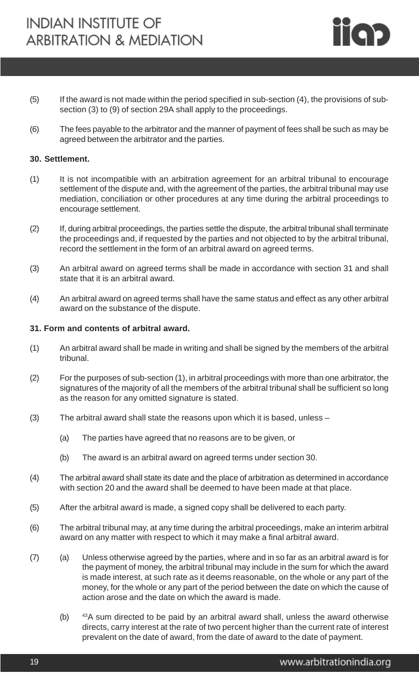

- (5) If the award is not made within the period specified in sub-section (4), the provisions of subsection (3) to (9) of section 29A shall apply to the proceedings.
- (6) The fees payable to the arbitrator and the manner of payment of fees shall be such as may be agreed between the arbitrator and the parties.

### **30. Settlement.**

- (1) It is not incompatible with an arbitration agreement for an arbitral tribunal to encourage settlement of the dispute and, with the agreement of the parties, the arbitral tribunal may use mediation, conciliation or other procedures at any time during the arbitral proceedings to encourage settlement.
- (2) If, during arbitral proceedings, the parties settle the dispute, the arbitral tribunal shall terminate the proceedings and, if requested by the parties and not objected to by the arbitral tribunal, record the settlement in the form of an arbitral award on agreed terms.
- (3) An arbitral award on agreed terms shall be made in accordance with section 31 and shall state that it is an arbitral award.
- (4) An arbitral award on agreed terms shall have the same status and effect as any other arbitral award on the substance of the dispute.

### **31. Form and contents of arbitral award.**

- (1) An arbitral award shall be made in writing and shall be signed by the members of the arbitral tribunal.
- (2) For the purposes of sub-section (1), in arbitral proceedings with more than one arbitrator, the signatures of the majority of all the members of the arbitral tribunal shall be sufficient so long as the reason for any omitted signature is stated.
- (3) The arbitral award shall state the reasons upon which it is based, unless
	- (a) The parties have agreed that no reasons are to be given, or
	- (b) The award is an arbitral award on agreed terms under section 30.
- (4) The arbitral award shall state its date and the place of arbitration as determined in accordance with section 20 and the award shall be deemed to have been made at that place.
- (5) After the arbitral award is made, a signed copy shall be delivered to each party.
- (6) The arbitral tribunal may, at any time during the arbitral proceedings, make an interim arbitral award on any matter with respect to which it may make a final arbitral award.
- (7) (a) Unless otherwise agreed by the parties, where and in so far as an arbitral award is for the payment of money, the arbitral tribunal may include in the sum for which the award is made interest, at such rate as it deems reasonable, on the whole or any part of the money, for the whole or any part of the period between the date on which the cause of action arose and the date on which the award is made.
	- (b)  $43A$  sum directed to be paid by an arbitral award shall, unless the award otherwise directs, carry interest at the rate of two percent higher than the current rate of interest prevalent on the date of award, from the date of award to the date of payment.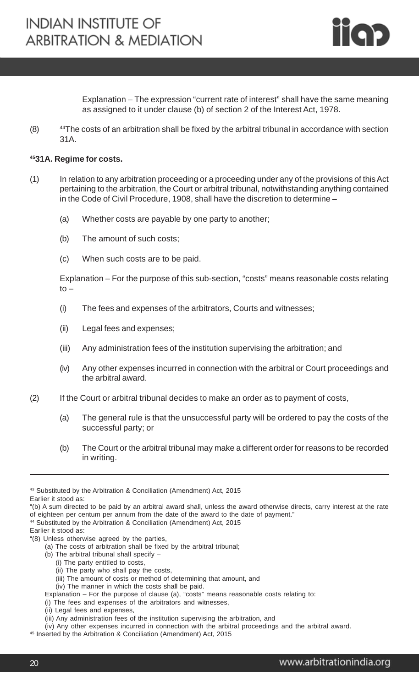

Explanation – The expression "current rate of interest" shall have the same meaning as assigned to it under clause (b) of section 2 of the Interest Act, 1978.

(8) 44The costs of an arbitration shall be fixed by the arbitral tribunal in accordance with section 31A.

### **4531A. Regime for costs.**

- (1) In relation to any arbitration proceeding or a proceeding under any of the provisions of this Act pertaining to the arbitration, the Court or arbitral tribunal, notwithstanding anything contained in the Code of Civil Procedure, 1908, shall have the discretion to determine –
	- (a) Whether costs are payable by one party to another;
	- (b) The amount of such costs;
	- (c) When such costs are to be paid.

Explanation – For the purpose of this sub-section, "costs" means reasonable costs relating  $to -$ 

- (i) The fees and expenses of the arbitrators, Courts and witnesses;
- (ii) Legal fees and expenses;
- (iii) Any administration fees of the institution supervising the arbitration; and
- (iv) Any other expenses incurred in connection with the arbitral or Court proceedings and the arbitral award.
- (2) If the Court or arbitral tribunal decides to make an order as to payment of costs,
	- (a) The general rule is that the unsuccessful party will be ordered to pay the costs of the successful party; or
	- (b) The Court or the arbitral tribunal may make a different order for reasons to be recorded in writing.

- (a) The costs of arbitration shall be fixed by the arbitral tribunal;
- (b) The arbitral tribunal shall specify
	- (i) The party entitled to costs,
	- (ii) The party who shall pay the costs,
	- (iii) The amount of costs or method of determining that amount, and
	- (iv) The manner in which the costs shall be paid.
- Explanation For the purpose of clause (a), "costs" means reasonable costs relating to:
- (i) The fees and expenses of the arbitrators and witnesses,
- (ii) Legal fees and expenses,

<sup>43</sup> Substituted by the Arbitration & Conciliation (Amendment) Act, 2015

Earlier it stood as:

<sup>&</sup>quot;(b) A sum directed to be paid by an arbitral award shall, unless the award otherwise directs, carry interest at the rate of eighteen per centum per annum from the date of the award to the date of payment."

<sup>44</sup> Substituted by the Arbitration & Conciliation (Amendment) Act, 2015

Earlier it stood as:

<sup>&</sup>quot;(8) Unless otherwise agreed by the parties,

<sup>(</sup>iii) Any administration fees of the institution supervising the arbitration, and

<sup>(</sup>iv) Any other expenses incurred in connection with the arbitral proceedings and the arbitral award.

<sup>45</sup> Inserted by the Arbitration & Conciliation (Amendment) Act, 2015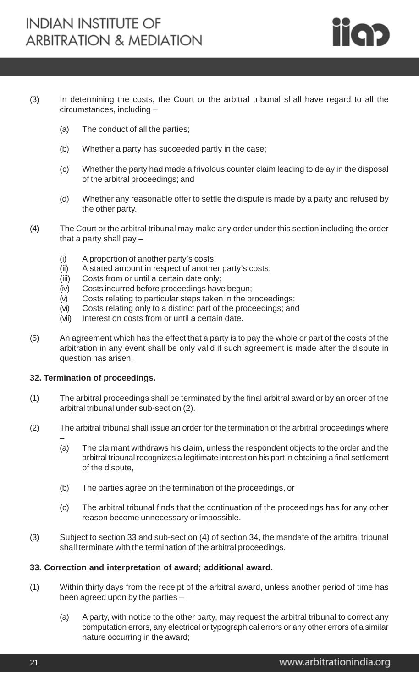- (3) In determining the costs, the Court or the arbitral tribunal shall have regard to all the circumstances, including –
	- (a) The conduct of all the parties;
	- (b) Whether a party has succeeded partly in the case;
	- (c) Whether the party had made a frivolous counter claim leading to delay in the disposal of the arbitral proceedings; and
	- (d) Whether any reasonable offer to settle the dispute is made by a party and refused by the other party.
- (4) The Court or the arbitral tribunal may make any order under this section including the order that a party shall pay –
	- (i) A proportion of another party's costs;
	- (ii) A stated amount in respect of another party's costs;
	- (iii) Costs from or until a certain date only;
	- (iv) Costs incurred before proceedings have begun;
	- (v) Costs relating to particular steps taken in the proceedings;
	- (vi) Costs relating only to a distinct part of the proceedings; and
	- (vii) Interest on costs from or until a certain date.
- (5) An agreement which has the effect that a party is to pay the whole or part of the costs of the arbitration in any event shall be only valid if such agreement is made after the dispute in question has arisen.

### **32. Termination of proceedings.**

- (1) The arbitral proceedings shall be terminated by the final arbitral award or by an order of the arbitral tribunal under sub-section (2).
- (2) The arbitral tribunal shall issue an order for the termination of the arbitral proceedings where
	- (a) The claimant withdraws his claim, unless the respondent objects to the order and the arbitral tribunal recognizes a legitimate interest on his part in obtaining a final settlement of the dispute,
	- (b) The parties agree on the termination of the proceedings, or
	- (c) The arbitral tribunal finds that the continuation of the proceedings has for any other reason become unnecessary or impossible.
- (3) Subject to section 33 and sub-section (4) of section 34, the mandate of the arbitral tribunal shall terminate with the termination of the arbitral proceedings.

### **33. Correction and interpretation of award; additional award.**

- (1) Within thirty days from the receipt of the arbitral award, unless another period of time has been agreed upon by the parties –
	- (a) A party, with notice to the other party, may request the arbitral tribunal to correct any computation errors, any electrical or typographical errors or any other errors of a similar nature occurring in the award;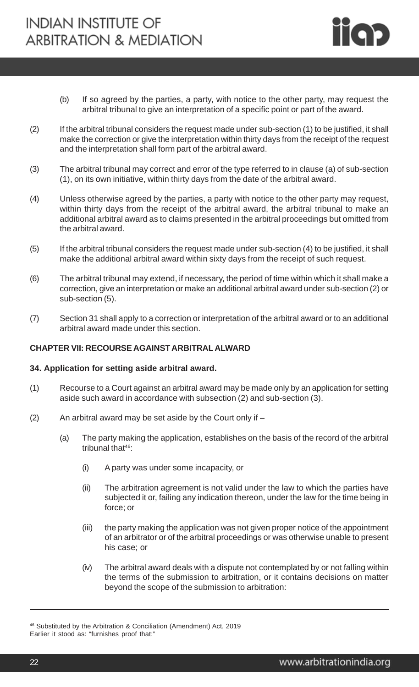

- (b) If so agreed by the parties, a party, with notice to the other party, may request the arbitral tribunal to give an interpretation of a specific point or part of the award.
- (2) If the arbitral tribunal considers the request made under sub-section (1) to be justified, it shall make the correction or give the interpretation within thirty days from the receipt of the request and the interpretation shall form part of the arbitral award.
- (3) The arbitral tribunal may correct and error of the type referred to in clause (a) of sub-section (1), on its own initiative, within thirty days from the date of the arbitral award.
- (4) Unless otherwise agreed by the parties, a party with notice to the other party may request, within thirty days from the receipt of the arbitral award, the arbitral tribunal to make an additional arbitral award as to claims presented in the arbitral proceedings but omitted from the arbitral award.
- (5) If the arbitral tribunal considers the request made under sub-section (4) to be justified, it shall make the additional arbitral award within sixty days from the receipt of such request.
- (6) The arbitral tribunal may extend, if necessary, the period of time within which it shall make a correction, give an interpretation or make an additional arbitral award under sub-section (2) or sub-section (5).
- (7) Section 31 shall apply to a correction or interpretation of the arbitral award or to an additional arbitral award made under this section.

# **CHAPTER VII: RECOURSE AGAINST ARBITRAL ALWARD**

### **34. Application for setting aside arbitral award.**

- (1) Recourse to a Court against an arbitral award may be made only by an application for setting aside such award in accordance with subsection (2) and sub-section (3).
- (2) An arbitral award may be set aside by the Court only if  $-$ 
	- (a) The party making the application, establishes on the basis of the record of the arbitral tribunal that<sup>46</sup>:
		- (i) A party was under some incapacity, or
		- (ii) The arbitration agreement is not valid under the law to which the parties have subjected it or, failing any indication thereon, under the law for the time being in force; or
		- (iii) the party making the application was not given proper notice of the appointment of an arbitrator or of the arbitral proceedings or was otherwise unable to present his case; or
		- (iv) The arbitral award deals with a dispute not contemplated by or not falling within the terms of the submission to arbitration, or it contains decisions on matter beyond the scope of the submission to arbitration:

<sup>46</sup> Substituted by the Arbitration & Conciliation (Amendment) Act, 2019 Earlier it stood as: "furnishes proof that:"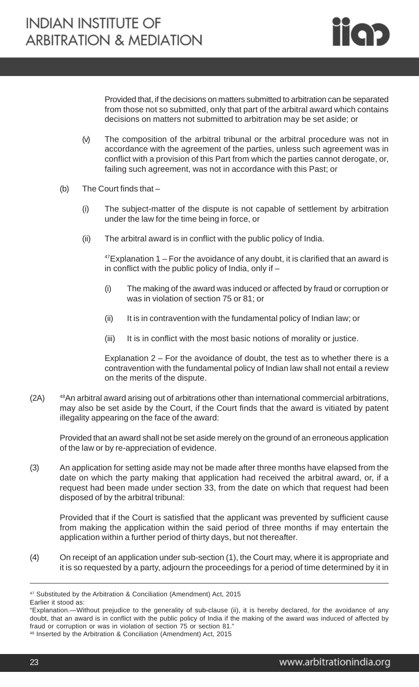

Provided that, if the decisions on matters submitted to arbitration can be separated from those not so submitted, only that part of the arbitral award which contains decisions on matters not submitted to arbitration may be set aside; or

- (v) The composition of the arbitral tribunal or the arbitral procedure was not in accordance with the agreement of the parties, unless such agreement was in conflict with a provision of this Part from which the parties cannot derogate, or, failing such agreement, was not in accordance with this Past; or
- (b) The Court finds that
	- (i) The subject-matter of the dispute is not capable of settlement by arbitration under the law for the time being in force, or
	- (ii) The arbitral award is in conflict with the public policy of India.

 $47$ Explanation 1 – For the avoidance of any doubt, it is clarified that an award is in conflict with the public policy of India, only if  $-$ 

- (i) The making of the award was induced or affected by fraud or corruption or was in violation of section 75 or 81; or
- (ii) It is in contravention with the fundamental policy of Indian law; or
- (iii) It is in conflict with the most basic notions of morality or justice.

Explanation 2 – For the avoidance of doubt, the test as to whether there is a contravention with the fundamental policy of Indian law shall not entail a review on the merits of the dispute.

 $(2A)$   $48$ An arbitral award arising out of arbitrations other than international commercial arbitrations, may also be set aside by the Court, if the Court finds that the award is vitiated by patent illegality appearing on the face of the award:

Provided that an award shall not be set aside merely on the ground of an erroneous application of the law or by re-appreciation of evidence.

(3) An application for setting aside may not be made after three months have elapsed from the date on which the party making that application had received the arbitral award, or, if a request had been made under section 33, from the date on which that request had been disposed of by the arbitral tribunal:

Provided that if the Court is satisfied that the applicant was prevented by sufficient cause from making the application within the said period of three months if may entertain the application within a further period of thirty days, but not thereafter.

(4) On receipt of an application under sub-section (1), the Court may, where it is appropriate and it is so requested by a party, adjourn the proceedings for a period of time determined by it in

<sup>47</sup> Substituted by the Arbitration & Conciliation (Amendment) Act, 2015 Earlier it stood as:

<sup>&</sup>quot;Explanation.—Without prejudice to the generality of sub-clause (ii), it is hereby declared, for the avoidance of any doubt, that an award is in conflict with the public policy of India if the making of the award was induced of affected by fraud or corruption or was in violation of section 75 or section 81."

<sup>48</sup> Inserted by the Arbitration & Conciliation (Amendment) Act, 2015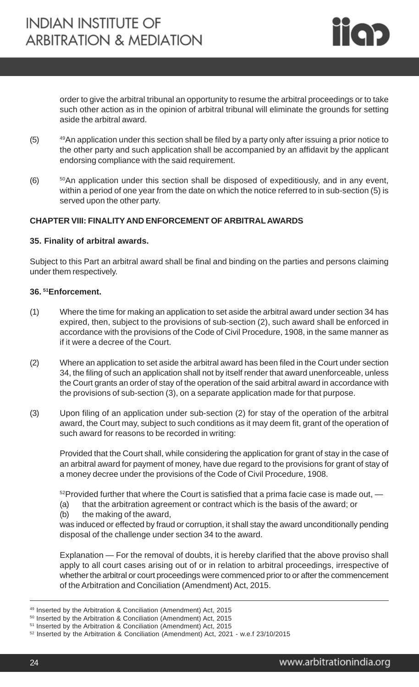

order to give the arbitral tribunal an opportunity to resume the arbitral proceedings or to take such other action as in the opinion of arbitral tribunal will eliminate the grounds for setting aside the arbitral award.

- (5) 49An application under this section shall be filed by a party only after issuing a prior notice to the other party and such application shall be accompanied by an affidavit by the applicant endorsing compliance with the said requirement.
- $(6)$  <sup>50</sup>An application under this section shall be disposed of expeditiously, and in any event, within a period of one year from the date on which the notice referred to in sub-section (5) is served upon the other party.

### **CHAPTER VIII: FINALITY AND ENFORCEMENT OF ARBITRAL AWARDS**

### **35. Finality of arbitral awards.**

Subject to this Part an arbitral award shall be final and binding on the parties and persons claiming under them respectively.

### **36. 51Enforcement.**

- (1) Where the time for making an application to set aside the arbitral award under section 34 has expired, then, subject to the provisions of sub-section (2), such award shall be enforced in accordance with the provisions of the Code of Civil Procedure, 1908, in the same manner as if it were a decree of the Court.
- (2) Where an application to set aside the arbitral award has been filed in the Court under section 34, the filing of such an application shall not by itself render that award unenforceable, unless the Court grants an order of stay of the operation of the said arbitral award in accordance with the provisions of sub-section (3), on a separate application made for that purpose.
- (3) Upon filing of an application under sub-section (2) for stay of the operation of the arbitral award, the Court may, subject to such conditions as it may deem fit, grant of the operation of such award for reasons to be recorded in writing:

Provided that the Court shall, while considering the application for grant of stay in the case of an arbitral award for payment of money, have due regard to the provisions for grant of stay of a money decree under the provisions of the Code of Civil Procedure, 1908.

 $52$ Provided further that where the Court is satisfied that a prima facie case is made out,  $-$ 

- (a) that the arbitration agreement or contract which is the basis of the award; or
- (b) the making of the award,

was induced or effected by fraud or corruption, it shall stay the award unconditionally pending disposal of the challenge under section 34 to the award.

Explanation — For the removal of doubts, it is hereby clarified that the above proviso shall apply to all court cases arising out of or in relation to arbitral proceedings, irrespective of whether the arbitral or court proceedings were commenced prior to or after the commencement of the Arbitration and Conciliation (Amendment) Act, 2015.

<sup>49</sup> Inserted by the Arbitration & Conciliation (Amendment) Act, 2015

<sup>50</sup> Inserted by the Arbitration & Conciliation (Amendment) Act, 2015

<sup>51</sup> Inserted by the Arbitration & Conciliation (Amendment) Act, 2015

<sup>52</sup> Inserted by the Arbitration & Conciliation (Amendment) Act, 2021 - w.e.f 23/10/2015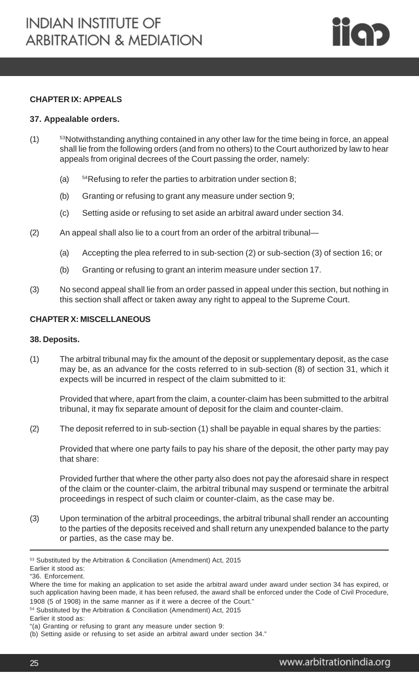

### **CHAPTER IX: APPEALS**

### **37. Appealable orders.**

- (1) 53Notwithstanding anything contained in any other law for the time being in force, an appeal shall lie from the following orders (and from no others) to the Court authorized by law to hear appeals from original decrees of the Court passing the order, namely:
	- (a) 54Refusing to refer the parties to arbitration under section 8;
	- (b) Granting or refusing to grant any measure under section 9;
	- (c) Setting aside or refusing to set aside an arbitral award under section 34.
- (2) An appeal shall also lie to a court from an order of the arbitral tribunal—
	- (a) Accepting the plea referred to in sub-section (2) or sub-section (3) of section 16; or
	- (b) Granting or refusing to grant an interim measure under section 17.
- (3) No second appeal shall lie from an order passed in appeal under this section, but nothing in this section shall affect or taken away any right to appeal to the Supreme Court.

### **CHAPTER X: MISCELLANEOUS**

#### **38. Deposits.**

(1) The arbitral tribunal may fix the amount of the deposit or supplementary deposit, as the case may be, as an advance for the costs referred to in sub-section (8) of section 31, which it expects will be incurred in respect of the claim submitted to it:

Provided that where, apart from the claim, a counter-claim has been submitted to the arbitral tribunal, it may fix separate amount of deposit for the claim and counter-claim.

(2) The deposit referred to in sub-section (1) shall be payable in equal shares by the parties:

Provided that where one party fails to pay his share of the deposit, the other party may pay that share:

Provided further that where the other party also does not pay the aforesaid share in respect of the claim or the counter-claim, the arbitral tribunal may suspend or terminate the arbitral proceedings in respect of such claim or counter-claim, as the case may be.

(3) Upon termination of the arbitral proceedings, the arbitral tribunal shall render an accounting to the parties of the deposits received and shall return any unexpended balance to the party or parties, as the case may be.

<sup>53</sup> Substituted by the Arbitration & Conciliation (Amendment) Act, 2015 Earlier it stood as:

<sup>&</sup>quot;36. Enforcement.

Where the time for making an application to set aside the arbitral award under award under section 34 has expired, or such application having been made, it has been refused, the award shall be enforced under the Code of Civil Procedure, 1908 (5 of 1908) in the same manner as if it were a decree of the Court."

<sup>54</sup> Substituted by the Arbitration & Conciliation (Amendment) Act, 2015

Earlier it stood as:

<sup>&</sup>quot;(a) Granting or refusing to grant any measure under section 9:

<sup>(</sup>b) Setting aside or refusing to set aside an arbitral award under section 34."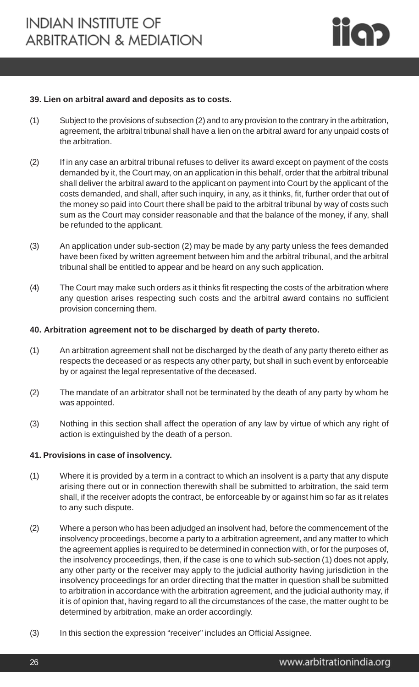

### **39. Lien on arbitral award and deposits as to costs.**

- (1) Subject to the provisions of subsection (2) and to any provision to the contrary in the arbitration, agreement, the arbitral tribunal shall have a lien on the arbitral award for any unpaid costs of the arbitration.
- (2) If in any case an arbitral tribunal refuses to deliver its award except on payment of the costs demanded by it, the Court may, on an application in this behalf, order that the arbitral tribunal shall deliver the arbitral award to the applicant on payment into Court by the applicant of the costs demanded, and shall, after such inquiry, in any, as it thinks, fit, further order that out of the money so paid into Court there shall be paid to the arbitral tribunal by way of costs such sum as the Court may consider reasonable and that the balance of the money, if any, shall be refunded to the applicant.
- (3) An application under sub-section (2) may be made by any party unless the fees demanded have been fixed by written agreement between him and the arbitral tribunal, and the arbitral tribunal shall be entitled to appear and be heard on any such application.
- (4) The Court may make such orders as it thinks fit respecting the costs of the arbitration where any question arises respecting such costs and the arbitral award contains no sufficient provision concerning them.

### **40. Arbitration agreement not to be discharged by death of party thereto.**

- (1) An arbitration agreement shall not be discharged by the death of any party thereto either as respects the deceased or as respects any other party, but shall in such event by enforceable by or against the legal representative of the deceased.
- (2) The mandate of an arbitrator shall not be terminated by the death of any party by whom he was appointed.
- (3) Nothing in this section shall affect the operation of any law by virtue of which any right of action is extinguished by the death of a person.

### **41. Provisions in case of insolvency.**

- (1) Where it is provided by a term in a contract to which an insolvent is a party that any dispute arising there out or in connection therewith shall be submitted to arbitration, the said term shall, if the receiver adopts the contract, be enforceable by or against him so far as it relates to any such dispute.
- (2) Where a person who has been adjudged an insolvent had, before the commencement of the insolvency proceedings, become a party to a arbitration agreement, and any matter to which the agreement applies is required to be determined in connection with, or for the purposes of, the insolvency proceedings, then, if the case is one to which sub-section (1) does not apply, any other party or the receiver may apply to the judicial authority having jurisdiction in the insolvency proceedings for an order directing that the matter in question shall be submitted to arbitration in accordance with the arbitration agreement, and the judicial authority may, if it is of opinion that, having regard to all the circumstances of the case, the matter ought to be determined by arbitration, make an order accordingly.
- (3) In this section the expression "receiver" includes an Official Assignee.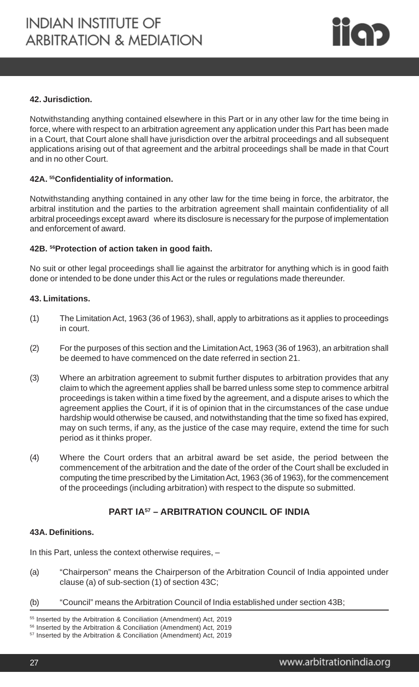

### **42. Jurisdiction.**

Notwithstanding anything contained elsewhere in this Part or in any other law for the time being in force, where with respect to an arbitration agreement any application under this Part has been made in a Court, that Court alone shall have jurisdiction over the arbitral proceedings and all subsequent applications arising out of that agreement and the arbitral proceedings shall be made in that Court and in no other Court.

### **42A. 55Confidentiality of information.**

Notwithstanding anything contained in any other law for the time being in force, the arbitrator, the arbitral institution and the parties to the arbitration agreement shall maintain confidentiality of all arbitral proceedings except award where its disclosure is necessary for the purpose of implementation and enforcement of award.

# **42B. 56Protection of action taken in good faith.**

No suit or other legal proceedings shall lie against the arbitrator for anything which is in good faith done or intended to be done under this Act or the rules or regulations made thereunder.

### **43. Limitations.**

- (1) The Limitation Act, 1963 (36 of 1963), shall, apply to arbitrations as it applies to proceedings in court.
- (2) For the purposes of this section and the Limitation Act, 1963 (36 of 1963), an arbitration shall be deemed to have commenced on the date referred in section 21.
- (3) Where an arbitration agreement to submit further disputes to arbitration provides that any claim to which the agreement applies shall be barred unless some step to commence arbitral proceedings is taken within a time fixed by the agreement, and a dispute arises to which the agreement applies the Court, if it is of opinion that in the circumstances of the case undue hardship would otherwise be caused, and notwithstanding that the time so fixed has expired, may on such terms, if any, as the justice of the case may require, extend the time for such period as it thinks proper.
- (4) Where the Court orders that an arbitral award be set aside, the period between the commencement of the arbitration and the date of the order of the Court shall be excluded in computing the time prescribed by the Limitation Act, 1963 (36 of 1963), for the commencement of the proceedings (including arbitration) with respect to the dispute so submitted.

# **PART IA57 – ARBITRATION COUNCIL OF INDIA**

### **43A. Definitions.**

In this Part, unless the context otherwise requires, –

- (a) "Chairperson" means the Chairperson of the Arbitration Council of India appointed under clause (a) of sub-section (1) of section 43C;
- (b) "Council" means the Arbitration Council of India established under section 43B;

<sup>55</sup> Inserted by the Arbitration & Conciliation (Amendment) Act, 2019

<sup>56</sup> Inserted by the Arbitration & Conciliation (Amendment) Act, 2019

<sup>57</sup> Inserted by the Arbitration & Conciliation (Amendment) Act, 2019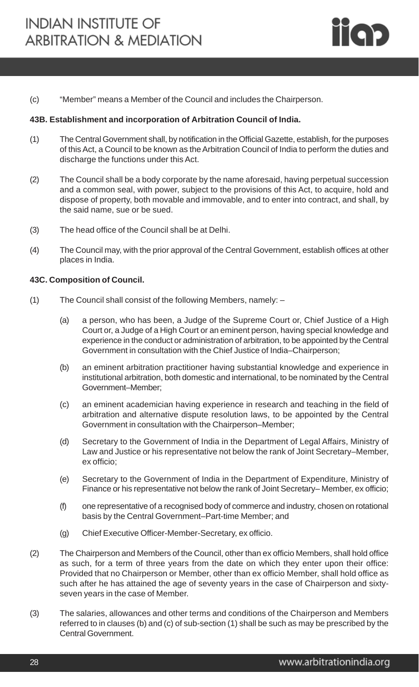

(c) "Member" means a Member of the Council and includes the Chairperson.

### **43B. Establishment and incorporation of Arbitration Council of India.**

- (1) The Central Government shall, by notification in the Official Gazette, establish, for the purposes of this Act, a Council to be known as the Arbitration Council of India to perform the duties and discharge the functions under this Act.
- (2) The Council shall be a body corporate by the name aforesaid, having perpetual succession and a common seal, with power, subject to the provisions of this Act, to acquire, hold and dispose of property, both movable and immovable, and to enter into contract, and shall, by the said name, sue or be sued.
- (3) The head office of the Council shall be at Delhi.
- (4) The Council may, with the prior approval of the Central Government, establish offices at other places in India.

### **43C. Composition of Council.**

- (1) The Council shall consist of the following Members, namely:
	- (a) a person, who has been, a Judge of the Supreme Court or, Chief Justice of a High Court or, a Judge of a High Court or an eminent person, having special knowledge and experience in the conduct or administration of arbitration, to be appointed by the Central Government in consultation with the Chief Justice of India–Chairperson;
	- (b) an eminent arbitration practitioner having substantial knowledge and experience in institutional arbitration, both domestic and international, to be nominated by the Central Government–Member;
	- (c) an eminent academician having experience in research and teaching in the field of arbitration and alternative dispute resolution laws, to be appointed by the Central Government in consultation with the Chairperson–Member;
	- (d) Secretary to the Government of India in the Department of Legal Affairs, Ministry of Law and Justice or his representative not below the rank of Joint Secretary–Member, ex officio;
	- (e) Secretary to the Government of India in the Department of Expenditure, Ministry of Finance or his representative not below the rank of Joint Secretary– Member, ex officio;
	- (f) one representative of a recognised body of commerce and industry, chosen on rotational basis by the Central Government–Part-time Member; and
	- (g) Chief Executive Officer-Member-Secretary, ex officio.
- (2) The Chairperson and Members of the Council, other than ex officio Members, shall hold office as such, for a term of three years from the date on which they enter upon their office: Provided that no Chairperson or Member, other than ex officio Member, shall hold office as such after he has attained the age of seventy years in the case of Chairperson and sixtyseven years in the case of Member.
- (3) The salaries, allowances and other terms and conditions of the Chairperson and Members referred to in clauses (b) and (c) of sub-section (1) shall be such as may be prescribed by the Central Government.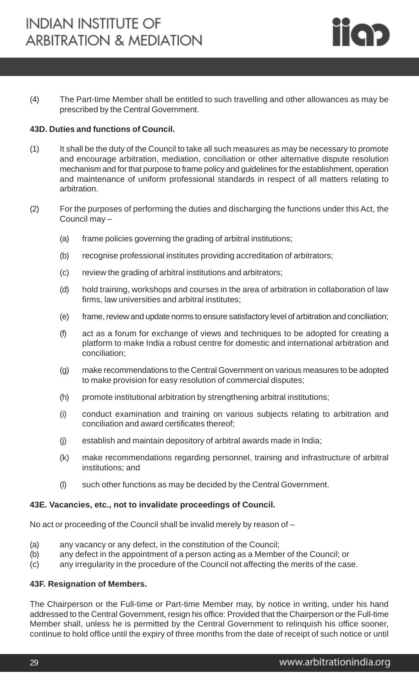

(4) The Part-time Member shall be entitled to such travelling and other allowances as may be prescribed by the Central Government.

### **43D. Duties and functions of Council.**

- (1) It shall be the duty of the Council to take all such measures as may be necessary to promote and encourage arbitration, mediation, conciliation or other alternative dispute resolution mechanism and for that purpose to frame policy and guidelines for the establishment, operation and maintenance of uniform professional standards in respect of all matters relating to arbitration.
- (2) For the purposes of performing the duties and discharging the functions under this Act, the Council may –
	- (a) frame policies governing the grading of arbitral institutions;
	- (b) recognise professional institutes providing accreditation of arbitrators;
	- (c) review the grading of arbitral institutions and arbitrators;
	- (d) hold training, workshops and courses in the area of arbitration in collaboration of law firms, law universities and arbitral institutes;
	- (e) frame, review and update norms to ensure satisfactory level of arbitration and conciliation;
	- (f) act as a forum for exchange of views and techniques to be adopted for creating a platform to make India a robust centre for domestic and international arbitration and conciliation;
	- (g) make recommendations to the Central Government on various measures to be adopted to make provision for easy resolution of commercial disputes;
	- (h) promote institutional arbitration by strengthening arbitral institutions;
	- (i) conduct examination and training on various subjects relating to arbitration and conciliation and award certificates thereof;
	- (j) establish and maintain depository of arbitral awards made in India;
	- (k) make recommendations regarding personnel, training and infrastructure of arbitral institutions; and
	- (l) such other functions as may be decided by the Central Government.

### **43E. Vacancies, etc., not to invalidate proceedings of Council.**

No act or proceeding of the Council shall be invalid merely by reason of –

- (a) any vacancy or any defect, in the constitution of the Council;
- (b) any defect in the appointment of a person acting as a Member of the Council; or
- (c) any irregularity in the procedure of the Council not affecting the merits of the case.

### **43F. Resignation of Members.**

The Chairperson or the Full-time or Part-time Member may, by notice in writing, under his hand addressed to the Central Government, resign his office: Provided that the Chairperson or the Full-time Member shall, unless he is permitted by the Central Government to relinquish his office sooner, continue to hold office until the expiry of three months from the date of receipt of such notice or until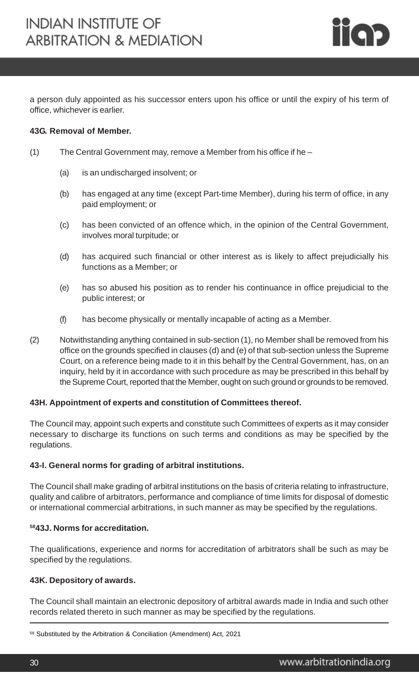

a person duly appointed as his successor enters upon his office or until the expiry of his term of office, whichever is earlier.

### **43G. Removal of Member.**

- (1) The Central Government may, remove a Member from his office if he
	- (a) is an undischarged insolvent; or
	- (b) has engaged at any time (except Part-time Member), during his term of office, in any paid employment; or
	- (c) has been convicted of an offence which, in the opinion of the Central Government, involves moral turpitude; or
	- (d) has acquired such financial or other interest as is likely to affect prejudicially his functions as a Member; or
	- (e) has so abused his position as to render his continuance in office prejudicial to the public interest; or
	- (f) has become physically or mentally incapable of acting as a Member.
- (2) Notwithstanding anything contained in sub-section (1), no Member shall be removed from his office on the grounds specified in clauses (d) and (e) of that sub-section unless the Supreme Court, on a reference being made to it in this behalf by the Central Government, has, on an inquiry, held by it in accordance with such procedure as may be prescribed in this behalf by the Supreme Court, reported that the Member, ought on such ground or grounds to be removed.

### **43H. Appointment of experts and constitution of Committees thereof.**

The Council may, appoint such experts and constitute such Committees of experts as it may consider necessary to discharge its functions on such terms and conditions as may be specified by the regulations.

### **43-I. General norms for grading of arbitral institutions.**

The Council shall make grading of arbitral institutions on the basis of criteria relating to infrastructure, quality and calibre of arbitrators, performance and compliance of time limits for disposal of domestic or international commercial arbitrations, in such manner as may be specified by the regulations.

### **5843J. Norms for accreditation.**

The qualifications, experience and norms for accreditation of arbitrators shall be such as may be specified by the regulations.

### **43K. Depository of awards.**

The Council shall maintain an electronic depository of arbitral awards made in India and such other records related thereto in such manner as may be specified by the regulations.

<sup>58</sup> Substituted by the Arbitration & Conciliation (Amendment) Act, 2021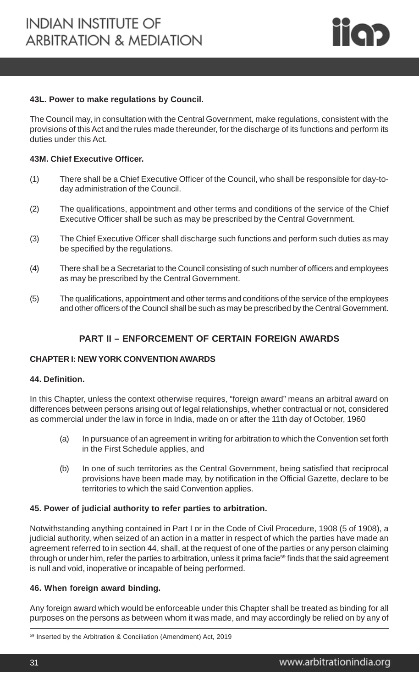

### **43L. Power to make regulations by Council.**

The Council may, in consultation with the Central Government, make regulations, consistent with the provisions of this Act and the rules made thereunder, for the discharge of its functions and perform its duties under this Act.

### **43M. Chief Executive Officer.**

- (1) There shall be a Chief Executive Officer of the Council, who shall be responsible for day-today administration of the Council.
- (2) The qualifications, appointment and other terms and conditions of the service of the Chief Executive Officer shall be such as may be prescribed by the Central Government.
- (3) The Chief Executive Officer shall discharge such functions and perform such duties as may be specified by the regulations.
- (4) There shall be a Secretariat to the Council consisting of such number of officers and employees as may be prescribed by the Central Government.
- (5) The qualifications, appointment and other terms and conditions of the service of the employees and other officers of the Council shall be such as may be prescribed by the Central Government.

# **PART II – ENFORCEMENT OF CERTAIN FOREIGN AWARDS**

### **CHAPTER I: NEW YORK CONVENTION AWARDS**

### **44. Definition.**

In this Chapter, unless the context otherwise requires, "foreign award" means an arbitral award on differences between persons arising out of legal relationships, whether contractual or not, considered as commercial under the law in force in India, made on or after the 11th day of October, 1960

- (a) In pursuance of an agreement in writing for arbitration to which the Convention set forth in the First Schedule applies, and
- (b) In one of such territories as the Central Government, being satisfied that reciprocal provisions have been made may, by notification in the Official Gazette, declare to be territories to which the said Convention applies.

### **45. Power of judicial authority to refer parties to arbitration.**

Notwithstanding anything contained in Part I or in the Code of Civil Procedure, 1908 (5 of 1908), a judicial authority, when seized of an action in a matter in respect of which the parties have made an agreement referred to in section 44, shall, at the request of one of the parties or any person claiming through or under him, refer the parties to arbitration, unless it prima facie<sup>59</sup> finds that the said agreement is null and void, inoperative or incapable of being performed.

### **46. When foreign award binding.**

Any foreign award which would be enforceable under this Chapter shall be treated as binding for all purposes on the persons as between whom it was made, and may accordingly be relied on by any of

<sup>59</sup> Inserted by the Arbitration & Conciliation (Amendment) Act, 2019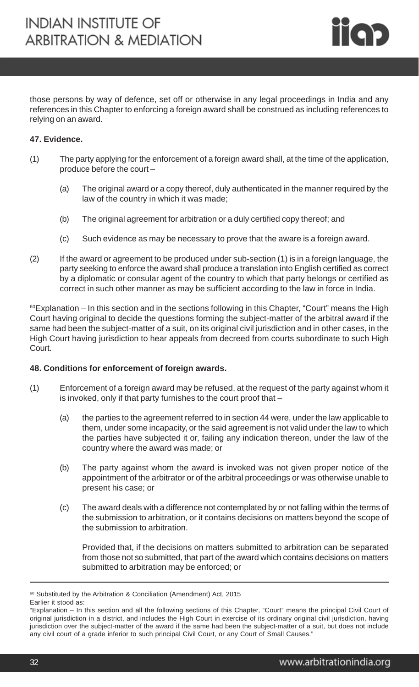

those persons by way of defence, set off or otherwise in any legal proceedings in India and any references in this Chapter to enforcing a foreign award shall be construed as including references to relying on an award.

### **47. Evidence.**

- (1) The party applying for the enforcement of a foreign award shall, at the time of the application, produce before the court –
	- (a) The original award or a copy thereof, duly authenticated in the manner required by the law of the country in which it was made;
	- (b) The original agreement for arbitration or a duly certified copy thereof; and
	- (c) Such evidence as may be necessary to prove that the aware is a foreign award.
- (2) If the award or agreement to be produced under sub-section (1) is in a foreign language, the party seeking to enforce the award shall produce a translation into English certified as correct by a diplomatic or consular agent of the country to which that party belongs or certified as correct in such other manner as may be sufficient according to the law in force in India.

 $60$ Explanation – In this section and in the sections following in this Chapter, "Court" means the High Court having original to decide the questions forming the subject-matter of the arbitral award if the same had been the subject-matter of a suit, on its original civil jurisdiction and in other cases, in the High Court having jurisdiction to hear appeals from decreed from courts subordinate to such High Court.

### **48. Conditions for enforcement of foreign awards.**

- (1) Enforcement of a foreign award may be refused, at the request of the party against whom it is invoked, only if that party furnishes to the court proof that –
	- (a) the parties to the agreement referred to in section 44 were, under the law applicable to them, under some incapacity, or the said agreement is not valid under the law to which the parties have subjected it or, failing any indication thereon, under the law of the country where the award was made; or
	- (b) The party against whom the award is invoked was not given proper notice of the appointment of the arbitrator or of the arbitral proceedings or was otherwise unable to present his case; or
	- (c) The award deals with a difference not contemplated by or not falling within the terms of the submission to arbitration, or it contains decisions on matters beyond the scope of the submission to arbitration.

Provided that, if the decisions on matters submitted to arbitration can be separated from those not so submitted, that part of the award which contains decisions on matters submitted to arbitration may be enforced; or

<sup>60</sup> Substituted by the Arbitration & Conciliation (Amendment) Act, 2015

Earlier it stood as:

<sup>&</sup>quot;Explanation – In this section and all the following sections of this Chapter, "Court" means the principal Civil Court of original jurisdiction in a district, and includes the High Court in exercise of its ordinary original civil jurisdiction, having jurisdiction over the subject-matter of the award if the same had been the subject-matter of a suit, but does not include any civil court of a grade inferior to such principal Civil Court, or any Court of Small Causes."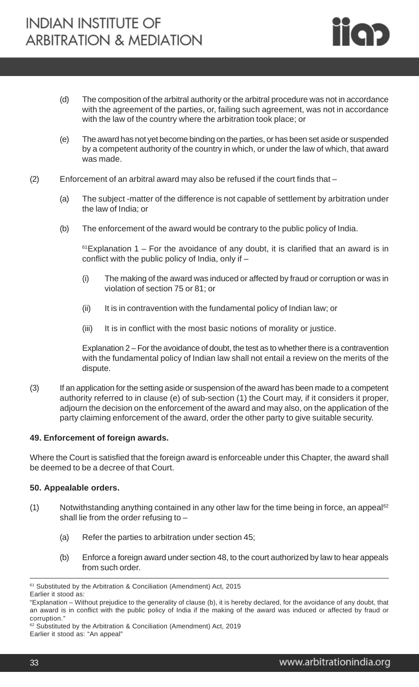

- (d) The composition of the arbitral authority or the arbitral procedure was not in accordance with the agreement of the parties, or, failing such agreement, was not in accordance with the law of the country where the arbitration took place; or
- (e) The award has not yet become binding on the parties, or has been set aside or suspended by a competent authority of the country in which, or under the law of which, that award was made.
- (2) Enforcement of an arbitral award may also be refused if the court finds that
	- (a) The subject -matter of the difference is not capable of settlement by arbitration under the law of India; or
	- (b) The enforcement of the award would be contrary to the public policy of India.

 $61$ Explanation 1 – For the avoidance of any doubt, it is clarified that an award is in conflict with the public policy of India, only if –

- (i) The making of the award was induced or affected by fraud or corruption or was in violation of section 75 or 81; or
- (ii) It is in contravention with the fundamental policy of Indian law; or
- (iii) It is in conflict with the most basic notions of morality or justice.

Explanation 2 – For the avoidance of doubt, the test as to whether there is a contravention with the fundamental policy of Indian law shall not entail a review on the merits of the dispute.

(3) If an application for the setting aside or suspension of the award has been made to a competent authority referred to in clause (e) of sub-section (1) the Court may, if it considers it proper, adjourn the decision on the enforcement of the award and may also, on the application of the party claiming enforcement of the award, order the other party to give suitable security.

### **49. Enforcement of foreign awards.**

Where the Court is satisfied that the foreign award is enforceable under this Chapter, the award shall be deemed to be a decree of that Court.

### **50. Appealable orders.**

- (1) Notwithstanding anything contained in any other law for the time being in force, an appeal<sup>62</sup> shall lie from the order refusing to –
	- (a) Refer the parties to arbitration under section 45;
	- (b) Enforce a foreign award under section 48, to the court authorized by law to hear appeals from such order.

<sup>&</sup>lt;sup>61</sup> Substituted by the Arbitration & Conciliation (Amendment) Act, 2015

Earlier it stood as:

<sup>&</sup>quot;Explanation – Without prejudice to the generality of clause (b), it is hereby declared, for the avoidance of any doubt, that an award is in conflict with the public policy of India if the making of the award was induced or affected by fraud or corruption."

<sup>&</sup>lt;sup>62</sup> Substituted by the Arbitration & Conciliation (Amendment) Act, 2019 Earlier it stood as: "An appeal"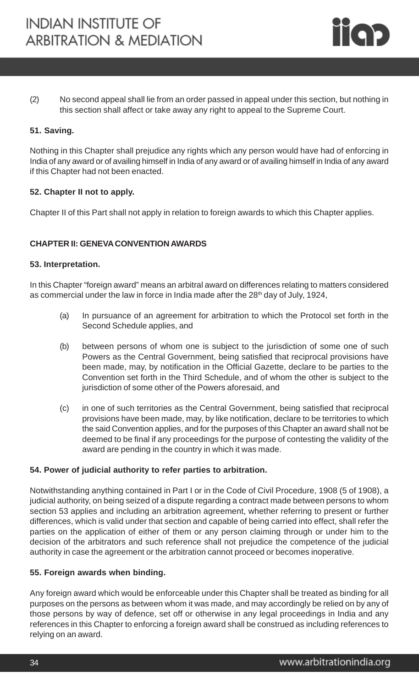

(2) No second appeal shall lie from an order passed in appeal under this section, but nothing in this section shall affect or take away any right to appeal to the Supreme Court.

### **51. Saving.**

Nothing in this Chapter shall prejudice any rights which any person would have had of enforcing in India of any award or of availing himself in India of any award or of availing himself in India of any award if this Chapter had not been enacted.

### **52. Chapter II not to apply.**

Chapter II of this Part shall not apply in relation to foreign awards to which this Chapter applies.

# **CHAPTER II: GENEVA CONVENTION AWARDS**

### **53. Interpretation.**

In this Chapter "foreign award" means an arbitral award on differences relating to matters considered as commercial under the law in force in India made after the  $28<sup>th</sup>$  day of July, 1924,

- (a) In pursuance of an agreement for arbitration to which the Protocol set forth in the Second Schedule applies, and
- (b) between persons of whom one is subject to the jurisdiction of some one of such Powers as the Central Government, being satisfied that reciprocal provisions have been made, may, by notification in the Official Gazette, declare to be parties to the Convention set forth in the Third Schedule, and of whom the other is subject to the jurisdiction of some other of the Powers aforesaid, and
- (c) in one of such territories as the Central Government, being satisfied that reciprocal provisions have been made, may, by like notification, declare to be territories to which the said Convention applies, and for the purposes of this Chapter an award shall not be deemed to be final if any proceedings for the purpose of contesting the validity of the award are pending in the country in which it was made.

### **54. Power of judicial authority to refer parties to arbitration.**

Notwithstanding anything contained in Part I or in the Code of Civil Procedure, 1908 (5 of 1908), a judicial authority, on being seized of a dispute regarding a contract made between persons to whom section 53 applies and including an arbitration agreement, whether referring to present or further differences, which is valid under that section and capable of being carried into effect, shall refer the parties on the application of either of them or any person claiming through or under him to the decision of the arbitrators and such reference shall not prejudice the competence of the judicial authority in case the agreement or the arbitration cannot proceed or becomes inoperative.

### **55. Foreign awards when binding.**

Any foreign award which would be enforceable under this Chapter shall be treated as binding for all purposes on the persons as between whom it was made, and may accordingly be relied on by any of those persons by way of defence, set off or otherwise in any legal proceedings in India and any references in this Chapter to enforcing a foreign award shall be construed as including references to relying on an award.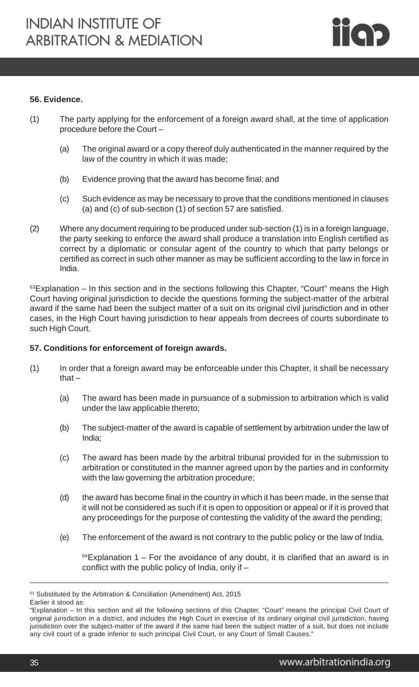

### **56. Evidence.**

- (1) The party applying for the enforcement of a foreign award shall, at the time of application procedure before the Court –
	- (a) The original award or a copy thereof duly authenticated in the manner required by the law of the country in which it was made;
	- (b) Evidence proving that the award has become final; and
	- (c) Such evidence as may be necessary to prove that the conditions mentioned in clauses (a) and (c) of sub-section (1) of section 57 are satisfied.
- (2) Where any document requiring to be produced under sub-section (1) is in a foreign language, the party seeking to enforce the award shall produce a translation into English certified as correct by a diplomatic or consular agent of the country to which that party belongs or certified as correct in such other manner as may be sufficient according to the law in force in India.

 $63$ Explanation – In this section and in the sections following this Chapter, "Court" means the High Court having original jurisdiction to decide the questions forming the subject-matter of the arbitral award if the same had been the subject matter of a suit on its original civil jurisdiction and in other cases, in the High Court having jurisdiction to hear appeals from decrees of courts subordinate to such High Court.

### **57. Conditions for enforcement of foreign awards.**

- (1) In order that a foreign award may be enforceable under this Chapter, it shall be necessary that $-$ 
	- (a) The award has been made in pursuance of a submission to arbitration which is valid under the law applicable thereto;
	- (b) The subject-matter of the award is capable of settlement by arbitration under the law of India;
	- (c) The award has been made by the arbitral tribunal provided for in the submission to arbitration or constituted in the manner agreed upon by the parties and in conformity with the law governing the arbitration procedure;
	- (d) the award has become final in the country in which it has been made, in the sense that it will not be considered as such if it is open to opposition or appeal or if it is proved that any proceedings for the purpose of contesting the validity of the award the pending;
	- (e) The enforcement of the award is not contrary to the public policy or the law of India.

 $64$ Explanation 1 – For the avoidance of any doubt, it is clarified that an award is in conflict with the public policy of India, only if –

<sup>&</sup>lt;sup>63</sup> Substituted by the Arbitration & Conciliation (Amendment) Act, 2015

Earlier it stood as:

<sup>&</sup>quot;Explanation – In this section and all the following sections of this Chapter, "Court" means the principal Civil Court of original jurisdiction in a district, and includes the High Court in exercise of its ordinary original civil jurisdiction, having jurisdiction over the subject-matter of the award if the same had been the subject matter of a suit, but does not include any civil court of a grade inferior to such principal Civil Court, or any Court of Small Causes."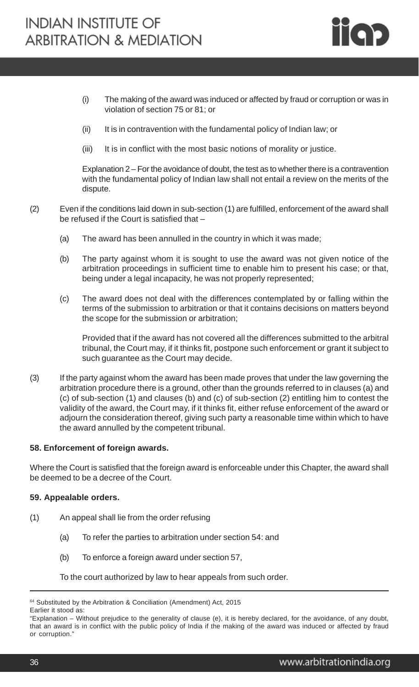# **INDIAN INSTITUTE OF ARBITRATION & MEDIATION**



- (i) The making of the award was induced or affected by fraud or corruption or was in violation of section 75 or 81; or
- (ii) It is in contravention with the fundamental policy of Indian law; or
- (iii) It is in conflict with the most basic notions of morality or justice.

Explanation 2 – For the avoidance of doubt, the test as to whether there is a contravention with the fundamental policy of Indian law shall not entail a review on the merits of the dispute.

- (2) Even if the conditions laid down in sub-section (1) are fulfilled, enforcement of the award shall be refused if the Court is satisfied that –
	- (a) The award has been annulled in the country in which it was made;
	- (b) The party against whom it is sought to use the award was not given notice of the arbitration proceedings in sufficient time to enable him to present his case; or that, being under a legal incapacity, he was not properly represented;
	- (c) The award does not deal with the differences contemplated by or falling within the terms of the submission to arbitration or that it contains decisions on matters beyond the scope for the submission or arbitration;

Provided that if the award has not covered all the differences submitted to the arbitral tribunal, the Court may, if it thinks fit, postpone such enforcement or grant it subject to such guarantee as the Court may decide.

(3) If the party against whom the award has been made proves that under the law governing the arbitration procedure there is a ground, other than the grounds referred to in clauses (a) and (c) of sub-section (1) and clauses (b) and (c) of sub-section (2) entitling him to contest the validity of the award, the Court may, if it thinks fit, either refuse enforcement of the award or adjourn the consideration thereof, giving such party a reasonable time within which to have the award annulled by the competent tribunal.

### **58. Enforcement of foreign awards.**

Where the Court is satisfied that the foreign award is enforceable under this Chapter, the award shall be deemed to be a decree of the Court.

### **59. Appealable orders.**

- (1) An appeal shall lie from the order refusing
	- (a) To refer the parties to arbitration under section 54: and
	- (b) To enforce a foreign award under section 57,
	- To the court authorized by law to hear appeals from such order.

<sup>&</sup>lt;sup>64</sup> Substituted by the Arbitration & Conciliation (Amendment) Act, 2015

Earlier it stood as:

<sup>&</sup>quot;Explanation – Without prejudice to the generality of clause (e), it is hereby declared, for the avoidance, of any doubt, that an award is in conflict with the public policy of India if the making of the award was induced or affected by fraud or corruption."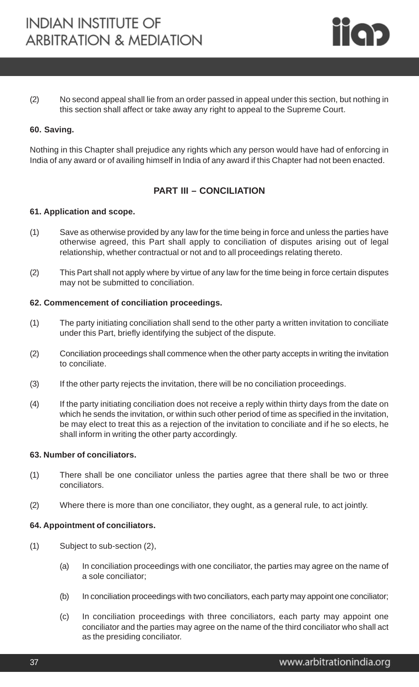

(2) No second appeal shall lie from an order passed in appeal under this section, but nothing in this section shall affect or take away any right to appeal to the Supreme Court.

### **60. Saving.**

Nothing in this Chapter shall prejudice any rights which any person would have had of enforcing in India of any award or of availing himself in India of any award if this Chapter had not been enacted.

# **PART III – CONCILIATION**

### **61. Application and scope.**

- (1) Save as otherwise provided by any law for the time being in force and unless the parties have otherwise agreed, this Part shall apply to conciliation of disputes arising out of legal relationship, whether contractual or not and to all proceedings relating thereto.
- (2) This Part shall not apply where by virtue of any law for the time being in force certain disputes may not be submitted to conciliation.

### **62. Commencement of conciliation proceedings.**

- (1) The party initiating conciliation shall send to the other party a written invitation to conciliate under this Part, briefly identifying the subject of the dispute.
- (2) Conciliation proceedings shall commence when the other party accepts in writing the invitation to conciliate.
- (3) If the other party rejects the invitation, there will be no conciliation proceedings.
- (4) If the party initiating conciliation does not receive a reply within thirty days from the date on which he sends the invitation, or within such other period of time as specified in the invitation, be may elect to treat this as a rejection of the invitation to conciliate and if he so elects, he shall inform in writing the other party accordingly.

### **63. Number of conciliators.**

- (1) There shall be one conciliator unless the parties agree that there shall be two or three conciliators.
- (2) Where there is more than one conciliator, they ought, as a general rule, to act jointly.

### **64. Appointment of conciliators.**

- (1) Subject to sub-section (2),
	- (a) In conciliation proceedings with one conciliator, the parties may agree on the name of a sole conciliator;
	- (b) In conciliation proceedings with two conciliators, each party may appoint one conciliator;
	- (c) In conciliation proceedings with three conciliators, each party may appoint one conciliator and the parties may agree on the name of the third conciliator who shall act as the presiding conciliator.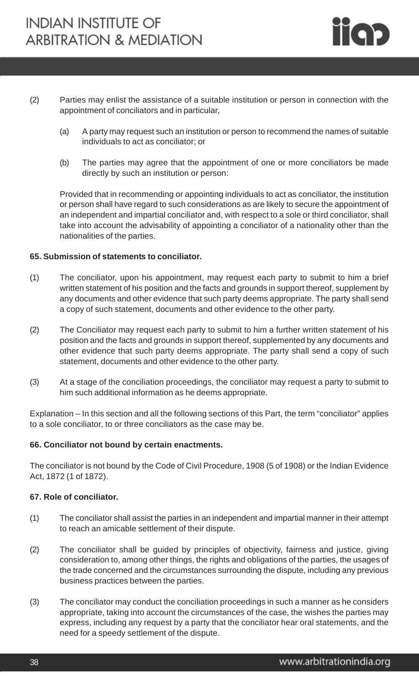

- (2) Parties may enlist the assistance of a suitable institution or person in connection with the appointment of conciliators and in particular,
	- (a) A party may request such an institution or person to recommend the names of suitable individuals to act as conciliator; or
	- (b) The parties may agree that the appointment of one or more conciliators be made directly by such an institution or person:

Provided that in recommending or appointing individuals to act as conciliator, the institution or person shall have regard to such considerations as are likely to secure the appointment of an independent and impartial conciliator and, with respect to a sole or third conciliator, shall take into account the advisability of appointing a conciliator of a nationality other than the nationalities of the parties.

### **65. Submission of statements to conciliator.**

- (1) The conciliator, upon his appointment, may request each party to submit to him a brief written statement of his position and the facts and grounds in support thereof, supplement by any documents and other evidence that such party deems appropriate. The party shall send a copy of such statement, documents and other evidence to the other party.
- (2) The Conciliator may request each party to submit to him a further written statement of his position and the facts and grounds in support thereof, supplemented by any documents and other evidence that such party deems appropriate. The party shall send a copy of such statement, documents and other evidence to the other party.
- (3) At a stage of the conciliation proceedings, the conciliator may request a party to submit to him such additional information as he deems appropriate.

Explanation – In this section and all the following sections of this Part, the term "conciliator" applies to a sole conciliator, to or three conciliators as the case may be.

### **66. Conciliator not bound by certain enactments.**

The conciliator is not bound by the Code of Civil Procedure, 1908 (5 of 1908) or the Indian Evidence Act, 1872 (1 of 1872).

### **67. Role of conciliator.**

- (1) The conciliator shall assist the parties in an independent and impartial manner in their attempt to reach an amicable settlement of their dispute.
- (2) The conciliator shall be guided by principles of objectivity, fairness and justice, giving consideration to, among other things, the rights and obligations of the parties, the usages of the trade concerned and the circumstances surrounding the dispute, including any previous business practices between the parties.
- (3) The conciliator may conduct the conciliation proceedings in such a manner as he considers appropriate, taking into account the circumstances of the case, the wishes the parties may express, including any request by a party that the conciliator hear oral statements, and the need for a speedy settlement of the dispute.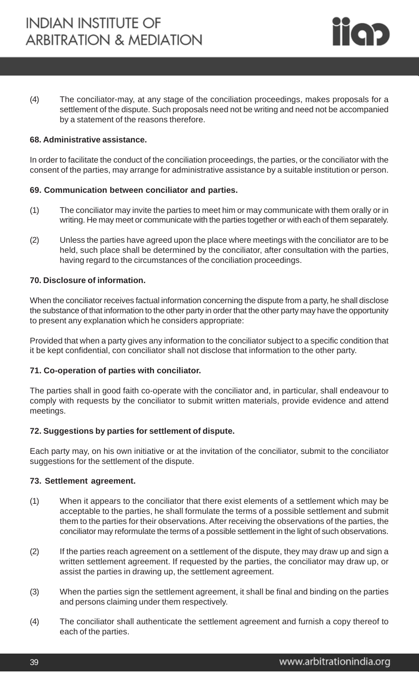

(4) The conciliator-may, at any stage of the conciliation proceedings, makes proposals for a settlement of the dispute. Such proposals need not be writing and need not be accompanied by a statement of the reasons therefore.

### **68. Administrative assistance.**

In order to facilitate the conduct of the conciliation proceedings, the parties, or the conciliator with the consent of the parties, may arrange for administrative assistance by a suitable institution or person.

### **69. Communication between conciliator and parties.**

- (1) The conciliator may invite the parties to meet him or may communicate with them orally or in writing. He may meet or communicate with the parties together or with each of them separately.
- (2) Unless the parties have agreed upon the place where meetings with the conciliator are to be held, such place shall be determined by the conciliator, after consultation with the parties, having regard to the circumstances of the conciliation proceedings.

### **70. Disclosure of information.**

When the conciliator receives factual information concerning the dispute from a party, he shall disclose the substance of that information to the other party in order that the other party may have the opportunity to present any explanation which he considers appropriate:

Provided that when a party gives any information to the conciliator subject to a specific condition that it be kept confidential, con conciliator shall not disclose that information to the other party.

### **71. Co-operation of parties with conciliator.**

The parties shall in good faith co-operate with the conciliator and, in particular, shall endeavour to comply with requests by the conciliator to submit written materials, provide evidence and attend meetings.

### **72. Suggestions by parties for settlement of dispute.**

Each party may, on his own initiative or at the invitation of the conciliator, submit to the conciliator suggestions for the settlement of the dispute.

### **73. Settlement agreement.**

- (1) When it appears to the conciliator that there exist elements of a settlement which may be acceptable to the parties, he shall formulate the terms of a possible settlement and submit them to the parties for their observations. After receiving the observations of the parties, the conciliator may reformulate the terms of a possible settlement in the light of such observations.
- (2) If the parties reach agreement on a settlement of the dispute, they may draw up and sign a written settlement agreement. If requested by the parties, the conciliator may draw up, or assist the parties in drawing up, the settlement agreement.
- (3) When the parties sign the settlement agreement, it shall be final and binding on the parties and persons claiming under them respectively.
- (4) The conciliator shall authenticate the settlement agreement and furnish a copy thereof to each of the parties.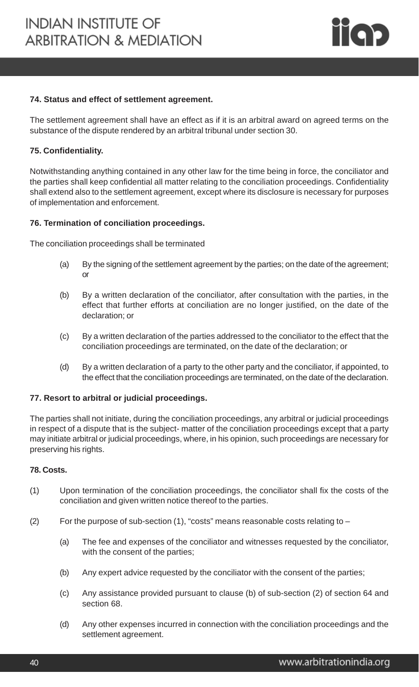

### **74. Status and effect of settlement agreement.**

The settlement agreement shall have an effect as if it is an arbitral award on agreed terms on the substance of the dispute rendered by an arbitral tribunal under section 30.

### **75. Confidentiality.**

Notwithstanding anything contained in any other law for the time being in force, the conciliator and the parties shall keep confidential all matter relating to the conciliation proceedings. Confidentiality shall extend also to the settlement agreement, except where its disclosure is necessary for purposes of implementation and enforcement.

### **76. Termination of conciliation proceedings.**

The conciliation proceedings shall be terminated

- (a) By the signing of the settlement agreement by the parties; on the date of the agreement; or
- (b) By a written declaration of the conciliator, after consultation with the parties, in the effect that further efforts at conciliation are no longer justified, on the date of the declaration; or
- (c) By a written declaration of the parties addressed to the conciliator to the effect that the conciliation proceedings are terminated, on the date of the declaration; or
- (d) By a written declaration of a party to the other party and the conciliator, if appointed, to the effect that the conciliation proceedings are terminated, on the date of the declaration.

### **77. Resort to arbitral or judicial proceedings.**

The parties shall not initiate, during the conciliation proceedings, any arbitral or judicial proceedings in respect of a dispute that is the subject- matter of the conciliation proceedings except that a party may initiate arbitral or judicial proceedings, where, in his opinion, such proceedings are necessary for preserving his rights.

### **78. Costs.**

- (1) Upon termination of the conciliation proceedings, the conciliator shall fix the costs of the conciliation and given written notice thereof to the parties.
- (2) For the purpose of sub-section  $(1)$ , "costs" means reasonable costs relating to  $-$ 
	- (a) The fee and expenses of the conciliator and witnesses requested by the conciliator, with the consent of the parties;
	- (b) Any expert advice requested by the conciliator with the consent of the parties;
	- (c) Any assistance provided pursuant to clause (b) of sub-section (2) of section 64 and section 68.
	- (d) Any other expenses incurred in connection with the conciliation proceedings and the settlement agreement.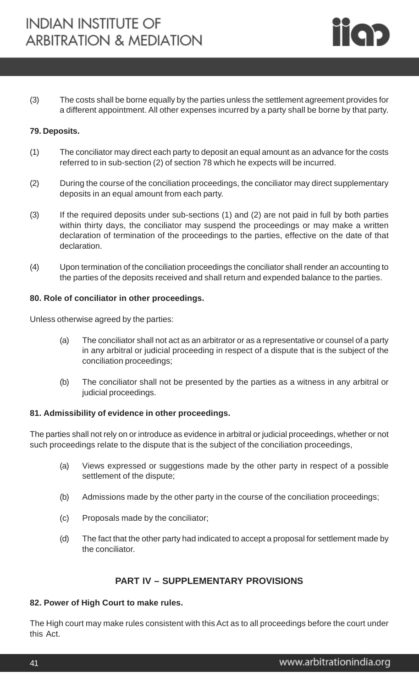

(3) The costs shall be borne equally by the parties unless the settlement agreement provides for a different appointment. All other expenses incurred by a party shall be borne by that party.

### **79. Deposits.**

- (1) The conciliator may direct each party to deposit an equal amount as an advance for the costs referred to in sub-section (2) of section 78 which he expects will be incurred.
- (2) During the course of the conciliation proceedings, the conciliator may direct supplementary deposits in an equal amount from each party.
- (3) If the required deposits under sub-sections (1) and (2) are not paid in full by both parties within thirty days, the conciliator may suspend the proceedings or may make a written declaration of termination of the proceedings to the parties, effective on the date of that declaration.
- (4) Upon termination of the conciliation proceedings the conciliator shall render an accounting to the parties of the deposits received and shall return and expended balance to the parties.

### **80. Role of conciliator in other proceedings.**

Unless otherwise agreed by the parties:

- (a) The conciliator shall not act as an arbitrator or as a representative or counsel of a party in any arbitral or judicial proceeding in respect of a dispute that is the subject of the conciliation proceedings;
- (b) The conciliator shall not be presented by the parties as a witness in any arbitral or judicial proceedings.

### **81. Admissibility of evidence in other proceedings.**

The parties shall not rely on or introduce as evidence in arbitral or judicial proceedings, whether or not such proceedings relate to the dispute that is the subject of the conciliation proceedings,

- (a) Views expressed or suggestions made by the other party in respect of a possible settlement of the dispute;
- (b) Admissions made by the other party in the course of the conciliation proceedings;
- (c) Proposals made by the conciliator;
- (d) The fact that the other party had indicated to accept a proposal for settlement made by the conciliator.

# **PART IV – SUPPLEMENTARY PROVISIONS**

### **82. Power of High Court to make rules.**

The High court may make rules consistent with this Act as to all proceedings before the court under this Act.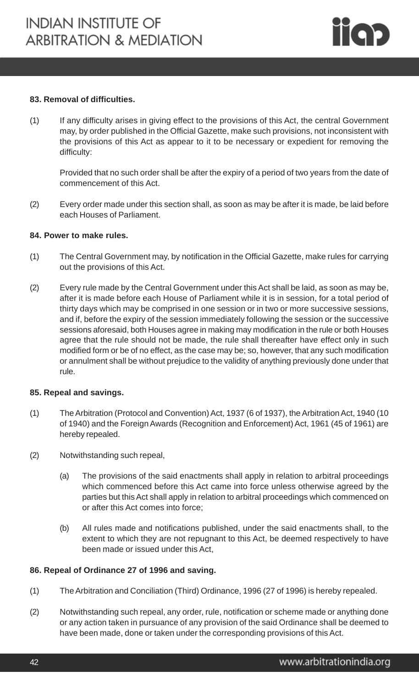

### **83. Removal of difficulties.**

(1) If any difficulty arises in giving effect to the provisions of this Act, the central Government may, by order published in the Official Gazette, make such provisions, not inconsistent with the provisions of this Act as appear to it to be necessary or expedient for removing the difficulty:

Provided that no such order shall be after the expiry of a period of two years from the date of commencement of this Act.

(2) Every order made under this section shall, as soon as may be after it is made, be laid before each Houses of Parliament.

### **84. Power to make rules.**

- (1) The Central Government may, by notification in the Official Gazette, make rules for carrying out the provisions of this Act.
- (2) Every rule made by the Central Government under this Act shall be laid, as soon as may be, after it is made before each House of Parliament while it is in session, for a total period of thirty days which may be comprised in one session or in two or more successive sessions, and if, before the expiry of the session immediately following the session or the successive sessions aforesaid, both Houses agree in making may modification in the rule or both Houses agree that the rule should not be made, the rule shall thereafter have effect only in such modified form or be of no effect, as the case may be; so, however, that any such modification or annulment shall be without prejudice to the validity of anything previously done under that rule.

### **85. Repeal and savings.**

- (1) The Arbitration (Protocol and Convention) Act, 1937 (6 of 1937), the Arbitration Act, 1940 (10 of 1940) and the Foreign Awards (Recognition and Enforcement) Act, 1961 (45 of 1961) are hereby repealed.
- (2) Notwithstanding such repeal,
	- (a) The provisions of the said enactments shall apply in relation to arbitral proceedings which commenced before this Act came into force unless otherwise agreed by the parties but this Act shall apply in relation to arbitral proceedings which commenced on or after this Act comes into force;
	- (b) All rules made and notifications published, under the said enactments shall, to the extent to which they are not repugnant to this Act, be deemed respectively to have been made or issued under this Act,

### **86. Repeal of Ordinance 27 of 1996 and saving.**

- (1) The Arbitration and Conciliation (Third) Ordinance, 1996 (27 of 1996) is hereby repealed.
- (2) Notwithstanding such repeal, any order, rule, notification or scheme made or anything done or any action taken in pursuance of any provision of the said Ordinance shall be deemed to have been made, done or taken under the corresponding provisions of this Act.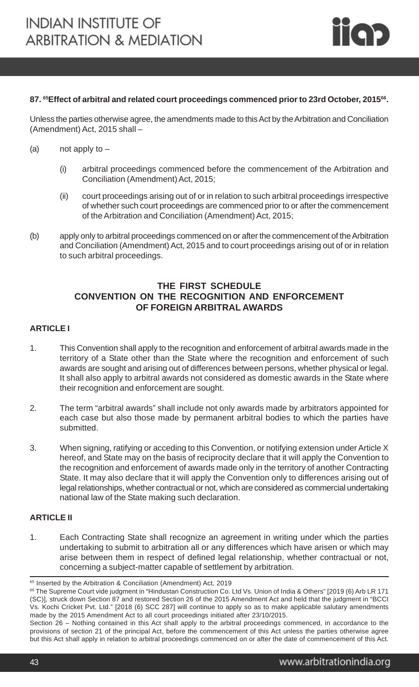

### **87. 65Effect of arbitral and related court proceedings commenced prior to 23rd October, 201566.**

Unless the parties otherwise agree, the amendments made to this Act by the Arbitration and Conciliation (Amendment) Act, 2015 shall –

- (a) not apply to  $-$ 
	- (i) arbitral proceedings commenced before the commencement of the Arbitration and Conciliation (Amendment) Act, 2015;
	- (ii) court proceedings arising out of or in relation to such arbitral proceedings irrespective of whether such court proceedings are commenced prior to or after the commencement of the Arbitration and Conciliation (Amendment) Act, 2015;
- (b) apply only to arbitral proceedings commenced on or after the commencement of the Arbitration and Conciliation (Amendment) Act, 2015 and to court proceedings arising out of or in relation to such arbitral proceedings.

# **THE FIRST SCHEDULE CONVENTION ON THE RECOGNITION AND ENFORCEMENT OF FOREIGN ARBITRAL AWARDS**

### **ARTICLE I**

- 1. This Convention shall apply to the recognition and enforcement of arbitral awards made in the territory of a State other than the State where the recognition and enforcement of such awards are sought and arising out of differences between persons, whether physical or legal. It shall also apply to arbitral awards not considered as domestic awards in the State where their recognition and enforcement are sought.
- 2. The term "arbitral awards" shall include not only awards made by arbitrators appointed for each case but also those made by permanent arbitral bodies to which the parties have submitted.
- 3. When signing, ratifying or acceding to this Convention, or notifying extension under Article X hereof, and State may on the basis of reciprocity declare that it will apply the Convention to the recognition and enforcement of awards made only in the territory of another Contracting State. It may also declare that it will apply the Convention only to differences arising out of legal relationships, whether contractual or not, which are considered as commercial undertaking national law of the State making such declaration.

### **ARTICLE II**

1. Each Contracting State shall recognize an agreement in writing under which the parties undertaking to submit to arbitration all or any differences which have arisen or which may arise between them in respect of defined legal relationship, whether contractual or not, concerning a subject-matter capable of settlement by arbitration.

<sup>&</sup>lt;sup>65</sup> Inserted by the Arbitration & Conciliation (Amendment) Act, 2019

<sup>&</sup>lt;sup>66</sup> The Supreme Court vide judgment in "Hindustan Construction Co. Ltd Vs. Union of India & Others" [2019 (6) Arb LR 171 (SC)], struck down Section 87 and restored Section 26 of the 2015 Amendment Act and held that the judgment in "BCCI Vs. Kochi Cricket Pvt. Ltd." [2018 (6) SCC 287] will continue to apply so as to make applicable salutary amendments made by the 2015 Amendment Act to all court proceedings initiated after 23/10/2015.

Section 26 – Nothing contained in this Act shall apply to the arbitral proceedings commenced, in accordance to the provisions of section 21 of the principal Act, before the commencement of this Act unless the parties otherwise agree but this Act shall apply in relation to arbitral proceedings commenced on or after the date of commencement of this Act.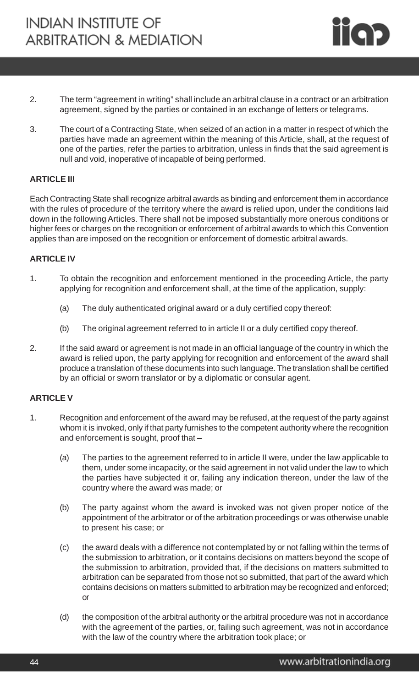

- 2. The term "agreement in writing" shall include an arbitral clause in a contract or an arbitration agreement, signed by the parties or contained in an exchange of letters or telegrams.
- 3. The court of a Contracting State, when seized of an action in a matter in respect of which the parties have made an agreement within the meaning of this Article, shall, at the request of one of the parties, refer the parties to arbitration, unless in finds that the said agreement is null and void, inoperative of incapable of being performed.

### **ARTICLE III**

Each Contracting State shall recognize arbitral awards as binding and enforcement them in accordance with the rules of procedure of the territory where the award is relied upon, under the conditions laid down in the following Articles. There shall not be imposed substantially more onerous conditions or higher fees or charges on the recognition or enforcement of arbitral awards to which this Convention applies than are imposed on the recognition or enforcement of domestic arbitral awards.

### **ARTICLE IV**

- 1. To obtain the recognition and enforcement mentioned in the proceeding Article, the party applying for recognition and enforcement shall, at the time of the application, supply:
	- (a) The duly authenticated original award or a duly certified copy thereof:
	- (b) The original agreement referred to in article II or a duly certified copy thereof.
- 2. If the said award or agreement is not made in an official language of the country in which the award is relied upon, the party applying for recognition and enforcement of the award shall produce a translation of these documents into such language. The translation shall be certified by an official or sworn translator or by a diplomatic or consular agent.

# **ARTICLE V**

- 1. Recognition and enforcement of the award may be refused, at the request of the party against whom it is invoked, only if that party furnishes to the competent authority where the recognition and enforcement is sought, proof that –
	- (a) The parties to the agreement referred to in article II were, under the law applicable to them, under some incapacity, or the said agreement in not valid under the law to which the parties have subjected it or, failing any indication thereon, under the law of the country where the award was made; or
	- (b) The party against whom the award is invoked was not given proper notice of the appointment of the arbitrator or of the arbitration proceedings or was otherwise unable to present his case; or
	- (c) the award deals with a difference not contemplated by or not falling within the terms of the submission to arbitration, or it contains decisions on matters beyond the scope of the submission to arbitration, provided that, if the decisions on matters submitted to arbitration can be separated from those not so submitted, that part of the award which contains decisions on matters submitted to arbitration may be recognized and enforced; or
	- (d) the composition of the arbitral authority or the arbitral procedure was not in accordance with the agreement of the parties, or, failing such agreement, was not in accordance with the law of the country where the arbitration took place; or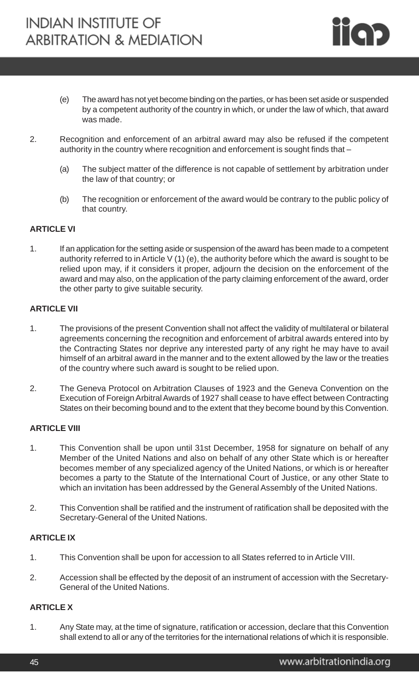

- (e) The award has not yet become binding on the parties, or has been set aside or suspended by a competent authority of the country in which, or under the law of which, that award was made.
- 2. Recognition and enforcement of an arbitral award may also be refused if the competent authority in the country where recognition and enforcement is sought finds that –
	- (a) The subject matter of the difference is not capable of settlement by arbitration under the law of that country; or
	- (b) The recognition or enforcement of the award would be contrary to the public policy of that country.

# **ARTICLE VI**

1. If an application for the setting aside or suspension of the award has been made to a competent authority referred to in Article  $V(1)(e)$ , the authority before which the award is sought to be relied upon may, if it considers it proper, adjourn the decision on the enforcement of the award and may also, on the application of the party claiming enforcement of the award, order the other party to give suitable security.

# **ARTICLE VII**

- 1. The provisions of the present Convention shall not affect the validity of multilateral or bilateral agreements concerning the recognition and enforcement of arbitral awards entered into by the Contracting States nor deprive any interested party of any right he may have to avail himself of an arbitral award in the manner and to the extent allowed by the law or the treaties of the country where such award is sought to be relied upon.
- 2. The Geneva Protocol on Arbitration Clauses of 1923 and the Geneva Convention on the Execution of Foreign Arbitral Awards of 1927 shall cease to have effect between Contracting States on their becoming bound and to the extent that they become bound by this Convention.

# **ARTICLE VIII**

- 1. This Convention shall be upon until 31st December, 1958 for signature on behalf of any Member of the United Nations and also on behalf of any other State which is or hereafter becomes member of any specialized agency of the United Nations, or which is or hereafter becomes a party to the Statute of the International Court of Justice, or any other State to which an invitation has been addressed by the General Assembly of the United Nations.
- 2. This Convention shall be ratified and the instrument of ratification shall be deposited with the Secretary-General of the United Nations.

# **ARTICLE IX**

- 1. This Convention shall be upon for accession to all States referred to in Article VIII.
- 2. Accession shall be effected by the deposit of an instrument of accession with the Secretary-General of the United Nations.

# **ARTICLE X**

1. Any State may, at the time of signature, ratification or accession, declare that this Convention shall extend to all or any of the territories for the international relations of which it is responsible.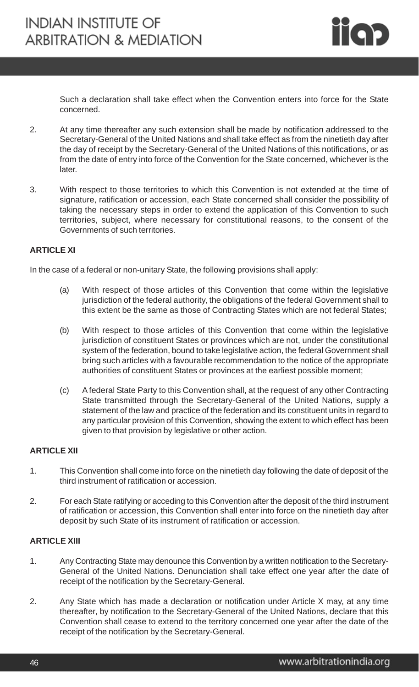

Such a declaration shall take effect when the Convention enters into force for the State concerned.

- 2. At any time thereafter any such extension shall be made by notification addressed to the Secretary-General of the United Nations and shall take effect as from the ninetieth day after the day of receipt by the Secretary-General of the United Nations of this notifications, or as from the date of entry into force of the Convention for the State concerned, whichever is the later.
- 3. With respect to those territories to which this Convention is not extended at the time of signature, ratification or accession, each State concerned shall consider the possibility of taking the necessary steps in order to extend the application of this Convention to such territories, subject, where necessary for constitutional reasons, to the consent of the Governments of such territories.

### **ARTICLE XI**

In the case of a federal or non-unitary State, the following provisions shall apply:

- (a) With respect of those articles of this Convention that come within the legislative jurisdiction of the federal authority, the obligations of the federal Government shall to this extent be the same as those of Contracting States which are not federal States;
- (b) With respect to those articles of this Convention that come within the legislative jurisdiction of constituent States or provinces which are not, under the constitutional system of the federation, bound to take legislative action, the federal Government shall bring such articles with a favourable recommendation to the notice of the appropriate authorities of constituent States or provinces at the earliest possible moment;
- (c) A federal State Party to this Convention shall, at the request of any other Contracting State transmitted through the Secretary-General of the United Nations, supply a statement of the law and practice of the federation and its constituent units in regard to any particular provision of this Convention, showing the extent to which effect has been given to that provision by legislative or other action.

### **ARTICLE XII**

- 1. This Convention shall come into force on the ninetieth day following the date of deposit of the third instrument of ratification or accession.
- 2. For each State ratifying or acceding to this Convention after the deposit of the third instrument of ratification or accession, this Convention shall enter into force on the ninetieth day after deposit by such State of its instrument of ratification or accession.

### **ARTICLE XIII**

- 1. Any Contracting State may denounce this Convention by a written notification to the Secretary-General of the United Nations. Denunciation shall take effect one year after the date of receipt of the notification by the Secretary-General.
- 2. Any State which has made a declaration or notification under Article X may, at any time thereafter, by notification to the Secretary-General of the United Nations, declare that this Convention shall cease to extend to the territory concerned one year after the date of the receipt of the notification by the Secretary-General.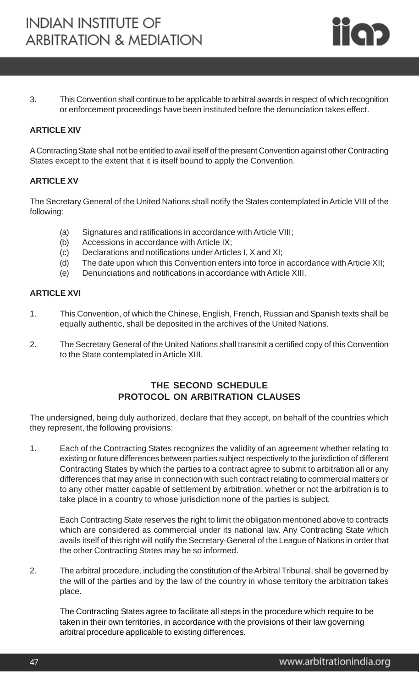

3. This Convention shall continue to be applicable to arbitral awards in respect of which recognition or enforcement proceedings have been instituted before the denunciation takes effect.

### **ARTICLE XIV**

A Contracting State shall not be entitled to avail itself of the present Convention against other Contracting States except to the extent that it is itself bound to apply the Convention.

### **ARTICLE XV**

The Secretary General of the United Nations shall notify the States contemplated in Article VIII of the following:

- (a) Signatures and ratifications in accordance with Article VIII;
- (b) Accessions in accordance with Article IX;
- (c) Declarations and notifications under Articles I, X and XI;
- (d) The date upon which this Convention enters into force in accordance with Article XII;
- (e) Denunciations and notifications in accordance with Article XIII.

### **ARTICLE XVI**

- 1. This Convention, of which the Chinese, English, French, Russian and Spanish texts shall be equally authentic, shall be deposited in the archives of the United Nations.
- 2. The Secretary General of the United Nations shall transmit a certified copy of this Convention to the State contemplated in Article XIII.

# **THE SECOND SCHEDULE PROTOCOL ON ARBITRATION CLAUSES**

The undersigned, being duly authorized, declare that they accept, on behalf of the countries which they represent, the following provisions:

1. Each of the Contracting States recognizes the validity of an agreement whether relating to existing or future differences between parties subject respectively to the jurisdiction of different Contracting States by which the parties to a contract agree to submit to arbitration all or any differences that may arise in connection with such contract relating to commercial matters or to any other matter capable of settlement by arbitration, whether or not the arbitration is to take place in a country to whose jurisdiction none of the parties is subject.

Each Contracting State reserves the right to limit the obligation mentioned above to contracts which are considered as commercial under its national law. Any Contracting State which avails itself of this right will notify the Secretary-General of the League of Nations in order that the other Contracting States may be so informed.

2. The arbitral procedure, including the constitution of the Arbitral Tribunal, shall be governed by the will of the parties and by the law of the country in whose territory the arbitration takes place.

The Contracting States agree to facilitate all steps in the procedure which require to be taken in their own territories, in accordance with the provisions of their law governing arbitral procedure applicable to existing differences.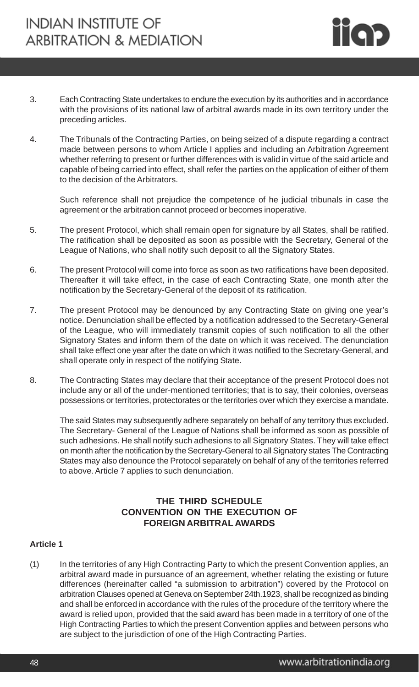

- 3. Each Contracting State undertakes to endure the execution by its authorities and in accordance with the provisions of its national law of arbitral awards made in its own territory under the preceding articles.
- 4. The Tribunals of the Contracting Parties, on being seized of a dispute regarding a contract made between persons to whom Article I applies and including an Arbitration Agreement whether referring to present or further differences with is valid in virtue of the said article and capable of being carried into effect, shall refer the parties on the application of either of them to the decision of the Arbitrators.

Such reference shall not prejudice the competence of he judicial tribunals in case the agreement or the arbitration cannot proceed or becomes inoperative.

- 5. The present Protocol, which shall remain open for signature by all States, shall be ratified. The ratification shall be deposited as soon as possible with the Secretary, General of the League of Nations, who shall notify such deposit to all the Signatory States.
- 6. The present Protocol will come into force as soon as two ratifications have been deposited. Thereafter it will take effect, in the case of each Contracting State, one month after the notification by the Secretary-General of the deposit of its ratification.
- 7. The present Protocol may be denounced by any Contracting State on giving one year's notice. Denunciation shall be effected by a notification addressed to the Secretary-General of the League, who will immediately transmit copies of such notification to all the other Signatory States and inform them of the date on which it was received. The denunciation shall take effect one year after the date on which it was notified to the Secretary-General, and shall operate only in respect of the notifying State.
- 8. The Contracting States may declare that their acceptance of the present Protocol does not include any or all of the under-mentioned territories; that is to say, their colonies, overseas possessions or territories, protectorates or the territories over which they exercise a mandate.

The said States may subsequently adhere separately on behalf of any territory thus excluded. The Secretary- General of the League of Nations shall be informed as soon as possible of such adhesions. He shall notify such adhesions to all Signatory States. They will take effect on month after the notification by the Secretary-General to all Signatory states The Contracting States may also denounce the Protocol separately on behalf of any of the territories referred to above. Article 7 applies to such denunciation.

# **THE THIRD SCHEDULE CONVENTION ON THE EXECUTION OF FOREIGN ARBITRAL AWARDS**

### **Article 1**

(1) In the territories of any High Contracting Party to which the present Convention applies, an arbitral award made in pursuance of an agreement, whether relating the existing or future differences (hereinafter called "a submission to arbitration") covered by the Protocol on arbitration Clauses opened at Geneva on September 24th.1923, shall be recognized as binding and shall be enforced in accordance with the rules of the procedure of the territory where the award is relied upon, provided that the said award has been made in a territory of one of the High Contracting Parties to which the present Convention applies and between persons who are subject to the jurisdiction of one of the High Contracting Parties.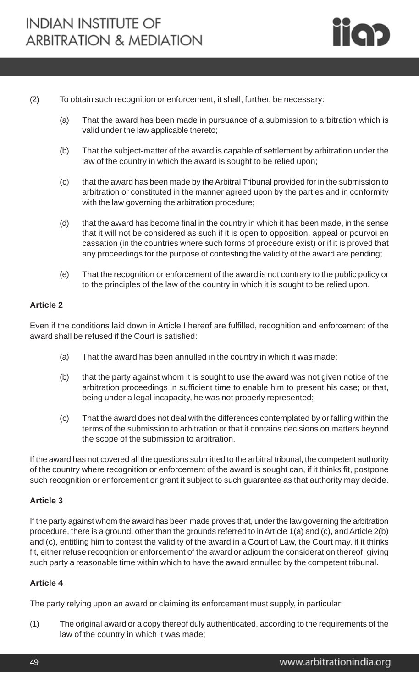

- (2) To obtain such recognition or enforcement, it shall, further, be necessary:
	- (a) That the award has been made in pursuance of a submission to arbitration which is valid under the law applicable thereto;
	- (b) That the subject-matter of the award is capable of settlement by arbitration under the law of the country in which the award is sought to be relied upon;
	- (c) that the award has been made by the Arbitral Tribunal provided for in the submission to arbitration or constituted in the manner agreed upon by the parties and in conformity with the law governing the arbitration procedure;
	- (d) that the award has become final in the country in which it has been made, in the sense that it will not be considered as such if it is open to opposition, appeal or pourvoi en cassation (in the countries where such forms of procedure exist) or if it is proved that any proceedings for the purpose of contesting the validity of the award are pending;
	- (e) That the recognition or enforcement of the award is not contrary to the public policy or to the principles of the law of the country in which it is sought to be relied upon.

### **Article 2**

Even if the conditions laid down in Article I hereof are fulfilled, recognition and enforcement of the award shall be refused if the Court is satisfied:

- (a) That the award has been annulled in the country in which it was made;
- (b) that the party against whom it is sought to use the award was not given notice of the arbitration proceedings in sufficient time to enable him to present his case; or that, being under a legal incapacity, he was not properly represented;
- (c) That the award does not deal with the differences contemplated by or falling within the terms of the submission to arbitration or that it contains decisions on matters beyond the scope of the submission to arbitration.

If the award has not covered all the questions submitted to the arbitral tribunal, the competent authority of the country where recognition or enforcement of the award is sought can, if it thinks fit, postpone such recognition or enforcement or grant it subject to such guarantee as that authority may decide.

# **Article 3**

If the party against whom the award has been made proves that, under the law governing the arbitration procedure, there is a ground, other than the grounds referred to in Article 1(a) and (c), and Article 2(b) and (c), entitling him to contest the validity of the award in a Court of Law, the Court may, if it thinks fit, either refuse recognition or enforcement of the award or adjourn the consideration thereof, giving such party a reasonable time within which to have the award annulled by the competent tribunal.

### **Article 4**

The party relying upon an award or claiming its enforcement must supply, in particular:

(1) The original award or a copy thereof duly authenticated, according to the requirements of the law of the country in which it was made;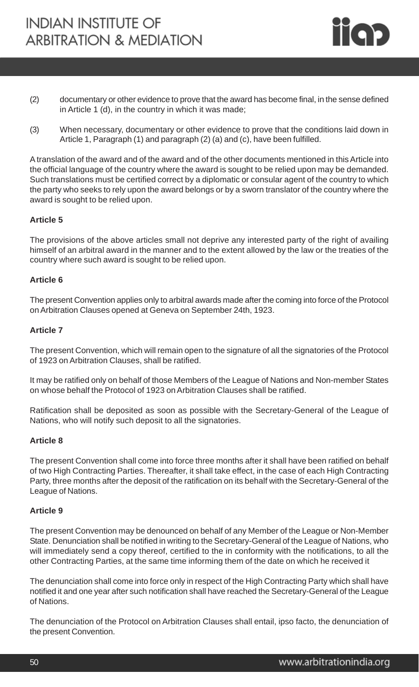

- (2) documentary or other evidence to prove that the award has become final, in the sense defined in Article 1 (d), in the country in which it was made;
- (3) When necessary, documentary or other evidence to prove that the conditions laid down in Article 1, Paragraph (1) and paragraph (2) (a) and (c), have been fulfilled.

A translation of the award and of the award and of the other documents mentioned in this Article into the official language of the country where the award is sought to be relied upon may be demanded. Such translations must be certified correct by a diplomatic or consular agent of the country to which the party who seeks to rely upon the award belongs or by a sworn translator of the country where the award is sought to be relied upon.

# **Article 5**

The provisions of the above articles small not deprive any interested party of the right of availing himself of an arbitral award in the manner and to the extent allowed by the law or the treaties of the country where such award is sought to be relied upon.

### **Article 6**

The present Convention applies only to arbitral awards made after the coming into force of the Protocol on Arbitration Clauses opened at Geneva on September 24th, 1923.

### **Article 7**

The present Convention, which will remain open to the signature of all the signatories of the Protocol of 1923 on Arbitration Clauses, shall be ratified.

It may be ratified only on behalf of those Members of the League of Nations and Non-member States on whose behalf the Protocol of 1923 on Arbitration Clauses shall be ratified.

Ratification shall be deposited as soon as possible with the Secretary-General of the League of Nations, who will notify such deposit to all the signatories.

### **Article 8**

The present Convention shall come into force three months after it shall have been ratified on behalf of two High Contracting Parties. Thereafter, it shall take effect, in the case of each High Contracting Party, three months after the deposit of the ratification on its behalf with the Secretary-General of the League of Nations.

### **Article 9**

The present Convention may be denounced on behalf of any Member of the League or Non-Member State. Denunciation shall be notified in writing to the Secretary-General of the League of Nations, who will immediately send a copy thereof, certified to the in conformity with the notifications, to all the other Contracting Parties, at the same time informing them of the date on which he received it

The denunciation shall come into force only in respect of the High Contracting Party which shall have notified it and one year after such notification shall have reached the Secretary-General of the League of Nations.

The denunciation of the Protocol on Arbitration Clauses shall entail, ipso facto, the denunciation of the present Convention.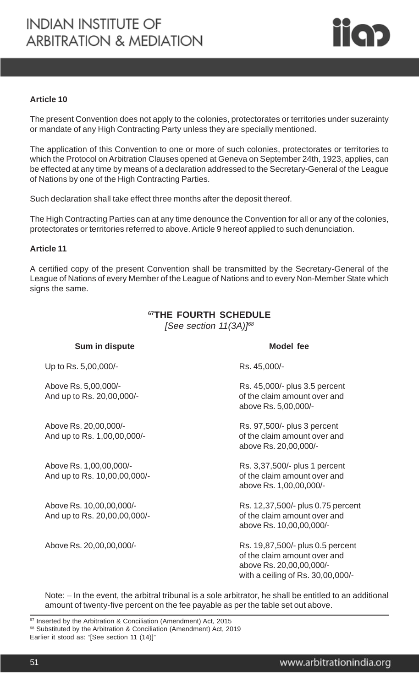

### **Article 10**

The present Convention does not apply to the colonies, protectorates or territories under suzerainty or mandate of any High Contracting Party unless they are specially mentioned.

The application of this Convention to one or more of such colonies, protectorates or territories to which the Protocol on Arbitration Clauses opened at Geneva on September 24th, 1923, applies, can be effected at any time by means of a declaration addressed to the Secretary-General of the League of Nations by one of the High Contracting Parties.

Such declaration shall take effect three months after the deposit thereof.

The High Contracting Parties can at any time denounce the Convention for all or any of the colonies, protectorates or territories referred to above. Article 9 hereof applied to such denunciation.

### **Article 11**

A certified copy of the present Convention shall be transmitted by the Secretary-General of the League of Nations of every Member of the League of Nations and to every Non-Member State which signs the same.

# **67THE FOURTH SCHEDULE**

*[See section 11(3A)]68*

| Sum in dispute                                           | Model fee                                                                                                                            |
|----------------------------------------------------------|--------------------------------------------------------------------------------------------------------------------------------------|
| Up to Rs. 5,00,000/-                                     | Rs. 45,000/-                                                                                                                         |
| Above Rs. 5,00,000/-<br>And up to Rs. 20,00,000/-        | Rs. 45,000/- plus 3.5 percent<br>of the claim amount over and<br>above Rs. 5,00,000/-                                                |
| Above Rs. 20,00,000/-<br>And up to Rs. 1,00,00,000/-     | Rs. 97,500/- plus 3 percent<br>of the claim amount over and<br>above Rs. 20,00,000/-                                                 |
| Above Rs. 1,00,00,000/-<br>And up to Rs. 10,00,00,000/-  | Rs. 3,37,500/- plus 1 percent<br>of the claim amount over and<br>above Rs. 1,00,00,000/-                                             |
| Above Rs. 10,00,00,000/-<br>And up to Rs. 20,00,00,000/- | Rs. 12,37,500/- plus 0.75 percent<br>of the claim amount over and<br>above Rs. 10,00,00,000/-                                        |
| Above Rs. 20,00,00,000/-                                 | Rs. 19,87,500/- plus 0.5 percent<br>of the claim amount over and<br>above Rs. 20,00,00,000/-<br>with a ceiling of Rs. $30,00,000/$ - |

Note: – In the event, the arbitral tribunal is a sole arbitrator, he shall be entitled to an additional amount of twenty-five percent on the fee payable as per the table set out above.

 $67$  Inserted by the Arbitration & Conciliation (Amendment) Act, 2015 <sup>68</sup> Substituted by the Arbitration & Conciliation (Amendment) Act, 2019 Earlier it stood as: "[See section 11 (14)]"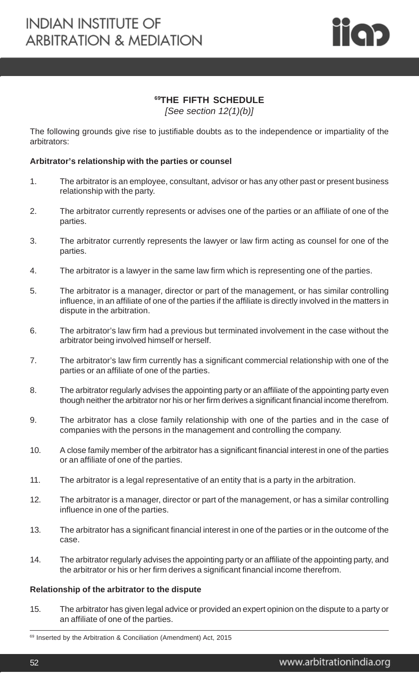

# **69THE FIFTH SCHEDULE**

*[See section 12(1)(b)]*

The following grounds give rise to justifiable doubts as to the independence or impartiality of the arbitrators:

### **Arbitrator's relationship with the parties or counsel**

- 1. The arbitrator is an employee, consultant, advisor or has any other past or present business relationship with the party.
- 2. The arbitrator currently represents or advises one of the parties or an affiliate of one of the parties.
- 3. The arbitrator currently represents the lawyer or law firm acting as counsel for one of the parties.
- 4. The arbitrator is a lawyer in the same law firm which is representing one of the parties.
- 5. The arbitrator is a manager, director or part of the management, or has similar controlling influence, in an affiliate of one of the parties if the affiliate is directly involved in the matters in dispute in the arbitration.
- 6. The arbitrator's law firm had a previous but terminated involvement in the case without the arbitrator being involved himself or herself.
- 7. The arbitrator's law firm currently has a significant commercial relationship with one of the parties or an affiliate of one of the parties.
- 8. The arbitrator regularly advises the appointing party or an affiliate of the appointing party even though neither the arbitrator nor his or her firm derives a significant financial income therefrom.
- 9. The arbitrator has a close family relationship with one of the parties and in the case of companies with the persons in the management and controlling the company.
- 10. A close family member of the arbitrator has a significant financial interest in one of the parties or an affiliate of one of the parties.
- 11. The arbitrator is a legal representative of an entity that is a party in the arbitration.
- 12. The arbitrator is a manager, director or part of the management, or has a similar controlling influence in one of the parties.
- 13. The arbitrator has a significant financial interest in one of the parties or in the outcome of the case.
- 14. The arbitrator regularly advises the appointing party or an affiliate of the appointing party, and the arbitrator or his or her firm derives a significant financial income therefrom.

### **Relationship of the arbitrator to the dispute**

15. The arbitrator has given legal advice or provided an expert opinion on the dispute to a party or an affiliate of one of the parties.

<sup>&</sup>lt;sup>69</sup> Inserted by the Arbitration & Conciliation (Amendment) Act, 2015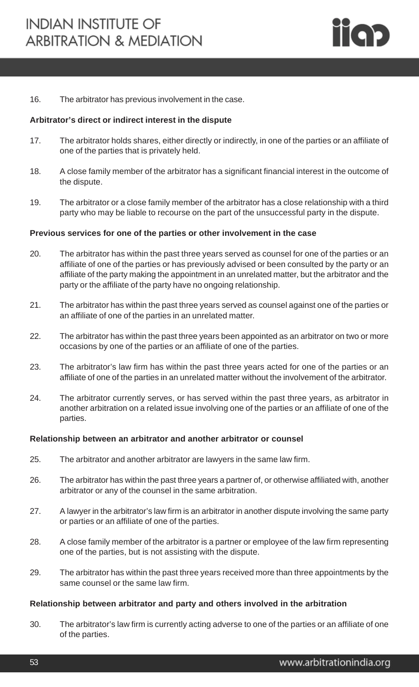

### 16. The arbitrator has previous involvement in the case.

### **Arbitrator's direct or indirect interest in the dispute**

- 17. The arbitrator holds shares, either directly or indirectly, in one of the parties or an affiliate of one of the parties that is privately held.
- 18. A close family member of the arbitrator has a significant financial interest in the outcome of the dispute.
- 19. The arbitrator or a close family member of the arbitrator has a close relationship with a third party who may be liable to recourse on the part of the unsuccessful party in the dispute.

### **Previous services for one of the parties or other involvement in the case**

- 20. The arbitrator has within the past three years served as counsel for one of the parties or an affiliate of one of the parties or has previously advised or been consulted by the party or an affiliate of the party making the appointment in an unrelated matter, but the arbitrator and the party or the affiliate of the party have no ongoing relationship.
- 21. The arbitrator has within the past three years served as counsel against one of the parties or an affiliate of one of the parties in an unrelated matter.
- 22. The arbitrator has within the past three years been appointed as an arbitrator on two or more occasions by one of the parties or an affiliate of one of the parties.
- 23. The arbitrator's law firm has within the past three years acted for one of the parties or an affiliate of one of the parties in an unrelated matter without the involvement of the arbitrator.
- 24. The arbitrator currently serves, or has served within the past three years, as arbitrator in another arbitration on a related issue involving one of the parties or an affiliate of one of the parties.

### **Relationship between an arbitrator and another arbitrator or counsel**

- 25. The arbitrator and another arbitrator are lawyers in the same law firm.
- 26. The arbitrator has within the past three years a partner of, or otherwise affiliated with, another arbitrator or any of the counsel in the same arbitration.
- 27. A lawyer in the arbitrator's law firm is an arbitrator in another dispute involving the same party or parties or an affiliate of one of the parties.
- 28. A close family member of the arbitrator is a partner or employee of the law firm representing one of the parties, but is not assisting with the dispute.
- 29. The arbitrator has within the past three years received more than three appointments by the same counsel or the same law firm.

### **Relationship between arbitrator and party and others involved in the arbitration**

30. The arbitrator's law firm is currently acting adverse to one of the parties or an affiliate of one of the parties.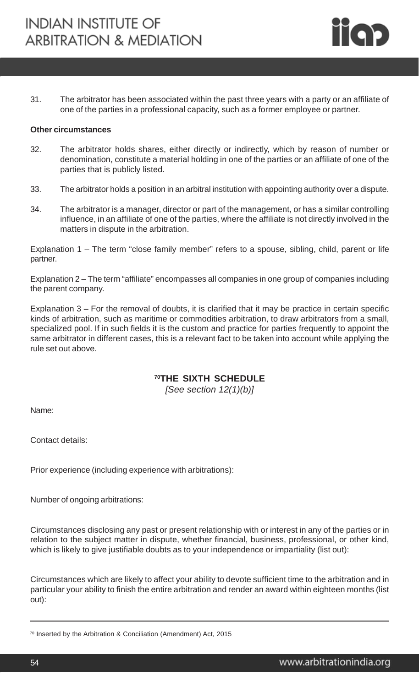

31. The arbitrator has been associated within the past three years with a party or an affiliate of one of the parties in a professional capacity, such as a former employee or partner.

### **Other circumstances**

- 32. The arbitrator holds shares, either directly or indirectly, which by reason of number or denomination, constitute a material holding in one of the parties or an affiliate of one of the parties that is publicly listed.
- 33. The arbitrator holds a position in an arbitral institution with appointing authority over a dispute.
- 34. The arbitrator is a manager, director or part of the management, or has a similar controlling influence, in an affiliate of one of the parties, where the affiliate is not directly involved in the matters in dispute in the arbitration.

Explanation 1 – The term "close family member" refers to a spouse, sibling, child, parent or life partner.

Explanation 2 – The term "affiliate" encompasses all companies in one group of companies including the parent company.

Explanation 3 – For the removal of doubts, it is clarified that it may be practice in certain specific kinds of arbitration, such as maritime or commodities arbitration, to draw arbitrators from a small, specialized pool. If in such fields it is the custom and practice for parties frequently to appoint the same arbitrator in different cases, this is a relevant fact to be taken into account while applying the rule set out above.

# **70THE SIXTH SCHEDULE**

*[See section 12(1)(b)]*

Name:

Contact details:

Prior experience (including experience with arbitrations):

Number of ongoing arbitrations:

Circumstances disclosing any past or present relationship with or interest in any of the parties or in relation to the subject matter in dispute, whether financial, business, professional, or other kind, which is likely to give justifiable doubts as to your independence or impartiality (list out):

Circumstances which are likely to affect your ability to devote sufficient time to the arbitration and in particular your ability to finish the entire arbitration and render an award within eighteen months (list out):

 $70$  Inserted by the Arbitration & Conciliation (Amendment) Act, 2015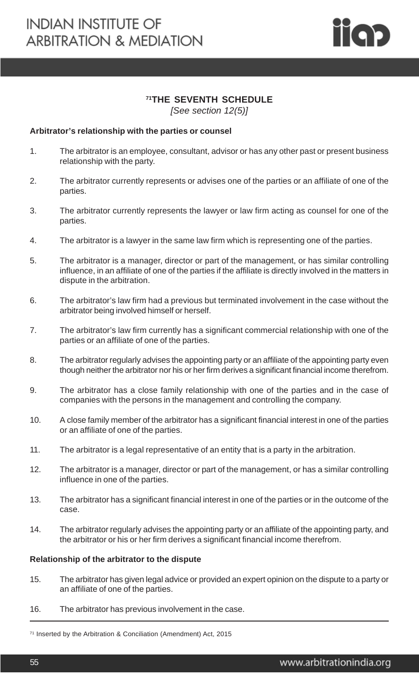

# **71THE SEVENTH SCHEDULE**

*[See section 12(5)]*

### **Arbitrator's relationship with the parties or counsel**

- 1. The arbitrator is an employee, consultant, advisor or has any other past or present business relationship with the party.
- 2. The arbitrator currently represents or advises one of the parties or an affiliate of one of the parties.
- 3. The arbitrator currently represents the lawyer or law firm acting as counsel for one of the parties.
- 4. The arbitrator is a lawyer in the same law firm which is representing one of the parties.
- 5. The arbitrator is a manager, director or part of the management, or has similar controlling influence, in an affiliate of one of the parties if the affiliate is directly involved in the matters in dispute in the arbitration.
- 6. The arbitrator's law firm had a previous but terminated involvement in the case without the arbitrator being involved himself or herself.
- 7. The arbitrator's law firm currently has a significant commercial relationship with one of the parties or an affiliate of one of the parties.
- 8. The arbitrator regularly advises the appointing party or an affiliate of the appointing party even though neither the arbitrator nor his or her firm derives a significant financial income therefrom.
- 9. The arbitrator has a close family relationship with one of the parties and in the case of companies with the persons in the management and controlling the company.
- 10. A close family member of the arbitrator has a significant financial interest in one of the parties or an affiliate of one of the parties.
- 11. The arbitrator is a legal representative of an entity that is a party in the arbitration.
- 12. The arbitrator is a manager, director or part of the management, or has a similar controlling influence in one of the parties.
- 13. The arbitrator has a significant financial interest in one of the parties or in the outcome of the case.
- 14. The arbitrator regularly advises the appointing party or an affiliate of the appointing party, and the arbitrator or his or her firm derives a significant financial income therefrom.

### **Relationship of the arbitrator to the dispute**

- 15. The arbitrator has given legal advice or provided an expert opinion on the dispute to a party or an affiliate of one of the parties.
- 16. The arbitrator has previous involvement in the case.

 $71$  Inserted by the Arbitration & Conciliation (Amendment) Act, 2015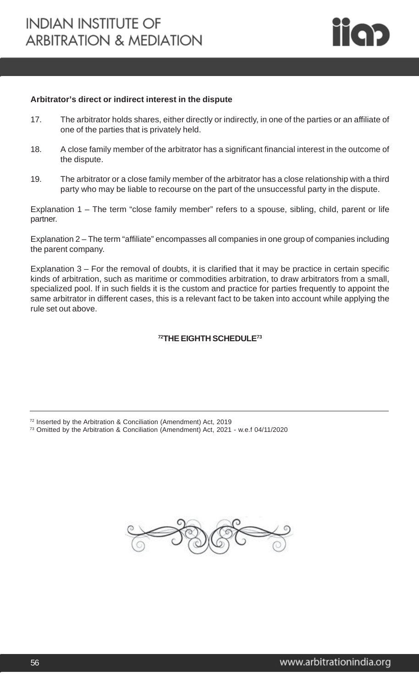

### **Arbitrator's direct or indirect interest in the dispute**

- 17. The arbitrator holds shares, either directly or indirectly, in one of the parties or an affiliate of one of the parties that is privately held.
- 18. A close family member of the arbitrator has a significant financial interest in the outcome of the dispute.
- 19. The arbitrator or a close family member of the arbitrator has a close relationship with a third party who may be liable to recourse on the part of the unsuccessful party in the dispute.

Explanation 1 – The term "close family member" refers to a spouse, sibling, child, parent or life partner.

Explanation 2 – The term "affiliate" encompasses all companies in one group of companies including the parent company.

Explanation 3 – For the removal of doubts, it is clarified that it may be practice in certain specific kinds of arbitration, such as maritime or commodities arbitration, to draw arbitrators from a small, specialized pool. If in such fields it is the custom and practice for parties frequently to appoint the same arbitrator in different cases, this is a relevant fact to be taken into account while applying the rule set out above.

### **72THE EIGHTH SCHEDULE73**

 $72$  Inserted by the Arbitration & Conciliation (Amendment) Act, 2019

73 Omitted by the Arbitration & Conciliation (Amendment) Act, 2021 - w.e.f 04/11/2020

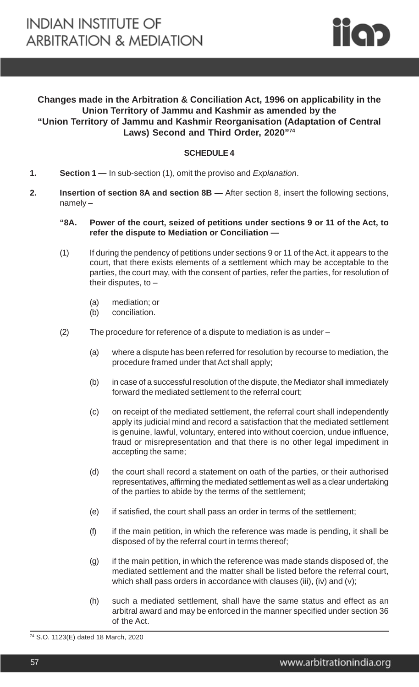

# **Changes made in the Arbitration & Conciliation Act, 1996 on applicability in the Union Territory of Jammu and Kashmir as amended by the "Union Territory of Jammu and Kashmir Reorganisation (Adaptation of Central Laws) Second and Third Order, 2020"74**

### **SCHEDULE 4**

- **1. Section 1** In sub-section (1), omit the proviso and *Explanation*.
- **2. Insertion of section 8A and section 8B** After section 8, insert the following sections, namely –

### **"8A. Power of the court, seized of petitions under sections 9 or 11 of the Act, to refer the dispute to Mediation or Conciliation —**

- (1) If during the pendency of petitions under sections 9 or 11 of the Act, it appears to the court, that there exists elements of a settlement which may be acceptable to the parties, the court may, with the consent of parties, refer the parties, for resolution of their disputes, to –
	- (a) mediation; or
	- (b) conciliation.
- (2) The procedure for reference of a dispute to mediation is as under
	- (a) where a dispute has been referred for resolution by recourse to mediation, the procedure framed under that Act shall apply;
	- (b) in case of a successful resolution of the dispute, the Mediator shall immediately forward the mediated settlement to the referral court;
	- (c) on receipt of the mediated settlement, the referral court shall independently apply its judicial mind and record a satisfaction that the mediated settlement is genuine, lawful, voluntary, entered into without coercion, undue influence, fraud or misrepresentation and that there is no other legal impediment in accepting the same;
	- (d) the court shall record a statement on oath of the parties, or their authorised representatives, affirming the mediated settlement as well as a clear undertaking of the parties to abide by the terms of the settlement;
	- (e) if satisfied, the court shall pass an order in terms of the settlement;
	- (f) if the main petition, in which the reference was made is pending, it shall be disposed of by the referral court in terms thereof;
	- (g) if the main petition, in which the reference was made stands disposed of, the mediated settlement and the matter shall be listed before the referral court, which shall pass orders in accordance with clauses (iii), (iv) and (v);
	- (h) such a mediated settlement, shall have the same status and effect as an arbitral award and may be enforced in the manner specified under section 36 of the Act.

<sup>74</sup> S.O. 1123(E) dated 18 March, 2020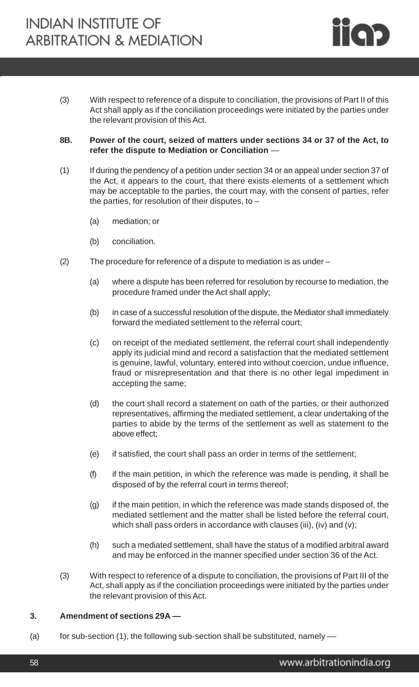

- (3) With respect to reference of a dispute to conciliation, the provisions of Part II of this Act shall apply as if the conciliation proceedings were initiated by the parties under the relevant provision of this Act.
- **8B. Power of the court, seized of matters under sections 34 or 37 of the Act, to refer the dispute to Mediation or Conciliation** —
- (1) If during the pendency of a petition under section 34 or an appeal under section 37 of the Act, it appears to the court, that there exists elements of a settlement which may be acceptable to the parties, the court may, with the consent of parties, refer the parties, for resolution of their disputes, to –
	- (a) mediation; or
	- (b) conciliation.
- (2) The procedure for reference of a dispute to mediation is as under
	- (a) where a dispute has been referred for resolution by recourse to mediation, the procedure framed under the Act shall apply;
	- (b) in case of a successful resolution of the dispute, the Mediator shall immediately forward the mediated settlement to the referral court;
	- (c) on receipt of the mediated settlement, the referral court shall independently apply its judicial mind and record a satisfaction that the mediated settlement is genuine, lawful, voluntary, entered into without coercion, undue influence, fraud or misrepresentation and that there is no other legal impediment in accepting the same;
	- (d) the court shall record a statement on oath of the parties, or their authorized representatives, affirming the mediated settlement, a clear undertaking of the parties to abide by the terms of the settlement as well as statement to the above effect;
	- (e) if satisfied, the court shall pass an order in terms of the settlement;
	- (f) if the main petition, in which the reference was made is pending, it shall be disposed of by the referral court in terms thereof;
	- (g) if the main petition, in which the reference was made stands disposed of, the mediated settlement and the matter shall be listed before the referral court, which shall pass orders in accordance with clauses (iii), (iv) and (v);
	- (h) such a mediated settlement, shall have the status of a modified arbitral award and may be enforced in the manner specified under section 36 of the Act.
- (3) With respect to reference of a dispute to conciliation, the provisions of Part III of the Act, shall apply as if the conciliation proceedings were initiated by the parties under the relevant provision of this Act.

### **3. Amendment of sections 29A —**

(a) for sub-section (1), the following sub-section shall be substituted, namely  $-$